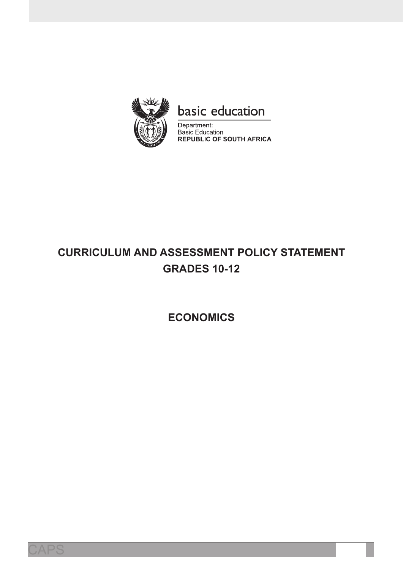

# basic education

Department: Basic Education **REPUBLIC OF SOUTH AFRICA** 

# **Curriculum and Assessment Policy Statement Grades 10-12**

**ECONOMICS**

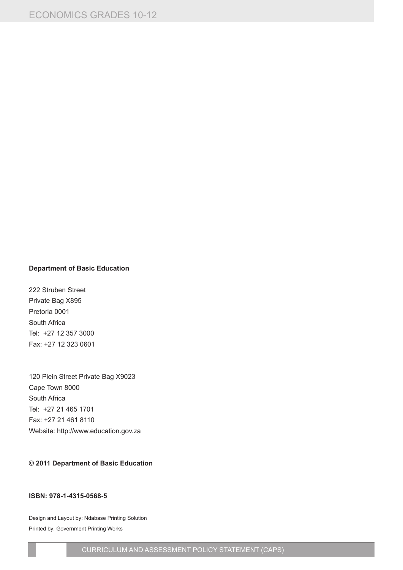#### **Department of Basic Education**

222 Struben Street Private Bag X895 Pretoria 0001 South Africa Tel: +27 12 357 3000 Fax: +27 12 323 0601

120 Plein Street Private Bag X9023 Cape Town 8000 South Africa Tel: +27 21 465 1701 Fax: +27 21 461 8110 Website: http://www.education.gov.za

### **© 2011 Department of Basic Education**

#### **Isbn: 978-1-4315-0568-5**

Design and Layout by: Ndabase Printing Solution Printed by: Government Printing Works

CURRICULUM AND ASSESSMENT POLICY STATEMENT (CAPS)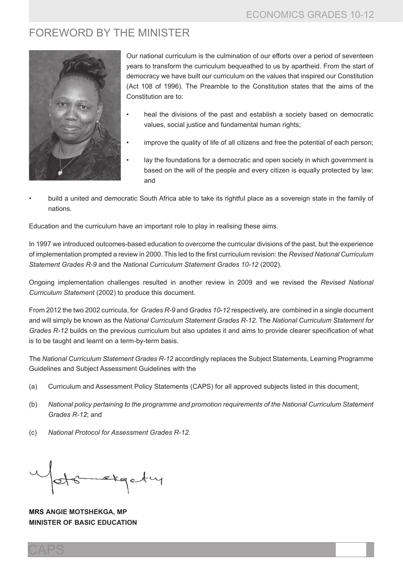# FOREWORD by the minister



Our national curriculum is the culmination of our efforts over a period of seventeen years to transform the curriculum bequeathed to us by apartheid. From the start of democracy we have built our curriculum on the values that inspired our Constitution (Act 108 of 1996). The Preamble to the Constitution states that the aims of the Constitution are to:

- heal the divisions of the past and establish a society based on democratic values, social justice and fundamental human rights;
- improve the quality of life of all citizens and free the potential of each person;
- lay the foundations for a democratic and open society in which government is based on the will of the people and every citizen is equally protected by law; and
- build a united and democratic South Africa able to take its rightful place as a sovereign state in the family of nations.

Education and the curriculum have an important role to play in realising these aims.

In 1997 we introduced outcomes-based education to overcome the curricular divisions of the past, but the experience of implementation prompted a review in 2000. This led to the first curriculum revision: the *Revised National Curriculum Statement Grades R-9* and the *National Curriculum Statement Grades 10-12* (2002).

Ongoing implementation challenges resulted in another review in 2009 and we revised the *Revised National Curriculum Statement* (2002) to produce this document.

From 2012 the two 2002 curricula, for *Grades R-9* and *Grades 10-12* respectively, are combined in a single document and will simply be known as the *National Curriculum Statement Grades R-12.* The *National Curriculum Statement for Grades R-12* builds on the previous curriculum but also updates it and aims to provide clearer specification of what is to be taught and learnt on a term-by-term basis.

The *National Curriculum Statement Grades R-12* accordingly replaces the Subject Statements, Learning Programme Guidelines and Subject Assessment Guidelines with the

- (a) Curriculum and Assessment Policy Statements (CAPS) for all approved subjects listed in this document;
- (b) *National policy pertaining to the programme and promotion requirements of the National Curriculum Statement Grades R-12*; and
- (c) *National Protocol for Assessment Grades R-12.*

skgety

**MRS ANGIE MOTSHEKGA, MP MINISTER OF BASIC EDUCATION**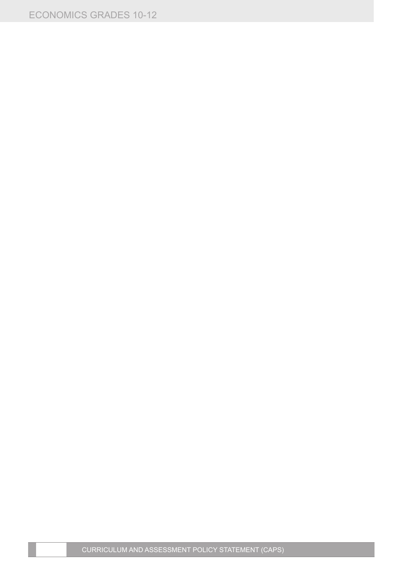CURRICULUM AND ASSESSMENT POLICY STATEMENT (CAPS)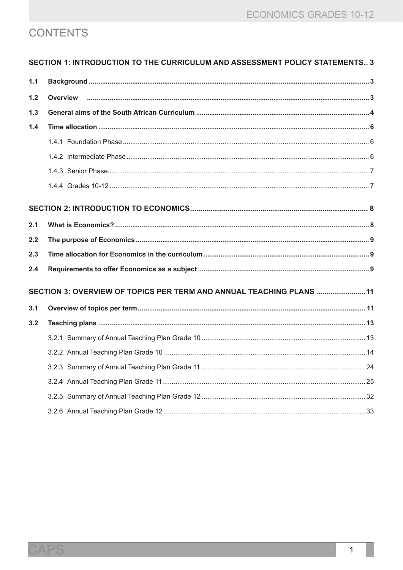# **CONTENTS**

|     | SECTION 1: INTRODUCTION TO THE CURRICULUM AND ASSESSMENT POLICY STATEMENTS 3 |  |
|-----|------------------------------------------------------------------------------|--|
| 1.1 |                                                                              |  |
| 1.2 |                                                                              |  |
| 1.3 |                                                                              |  |
| 1.4 |                                                                              |  |
|     |                                                                              |  |
|     |                                                                              |  |
|     |                                                                              |  |
|     |                                                                              |  |
|     |                                                                              |  |
| 2.1 |                                                                              |  |
| 2.2 |                                                                              |  |
| 2.3 |                                                                              |  |
| 2.4 |                                                                              |  |
|     | SECTION 3: OVERVIEW OF TOPICS PER TERM AND ANNUAL TEACHING PLANS 11          |  |
| 3.1 |                                                                              |  |
| 3.2 |                                                                              |  |
|     |                                                                              |  |
|     |                                                                              |  |
|     |                                                                              |  |
|     |                                                                              |  |
|     |                                                                              |  |
|     |                                                                              |  |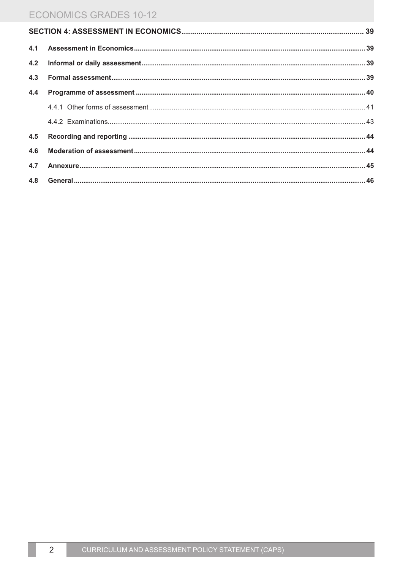| 4.2 |  |
|-----|--|
|     |  |
| 4.4 |  |
|     |  |
|     |  |
| 4.5 |  |
| 4.6 |  |
|     |  |
|     |  |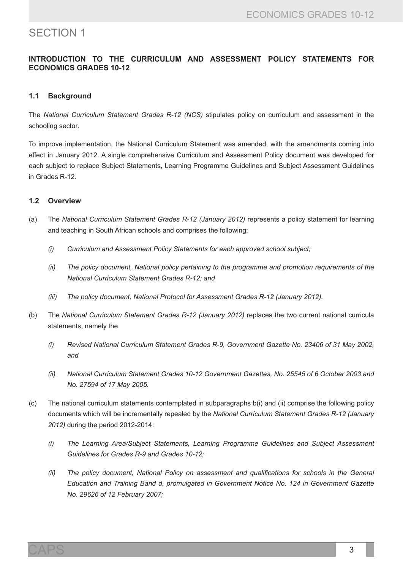# sECTION 1

# **INTRODUCTION TO THE Curriculum and Assessment Policy StatementS for economics GRADES 10-12**

### **1.1 Background**

The *National Curriculum Statement Grades R-12 (NCS)* stipulates policy on curriculum and assessment in the schooling sector.

To improve implementation, the National Curriculum Statement was amended, with the amendments coming into effect in January 2012. A single comprehensive Curriculum and Assessment Policy document was developed for each subject to replace Subject Statements, Learning Programme Guidelines and Subject Assessment Guidelines in Grades R-12.

### **1.2 Overview**

- (a) The *National Curriculum Statement Grades R-12 (January 2012)* represents a policy statement for learning and teaching in South African schools and comprises the following:
	- *(i) Curriculum and Assessment Policy Statements for each approved school subject;*
	- *(ii) The policy document, National policy pertaining to the programme and promotion requirements of the National Curriculum Statement Grades R-12; and*
	- *(iii) The policy document, National Protocol for Assessment Grades R-12 (January 2012).*
- (b) The *National Curriculum Statement Grades R-12 (January 2012)* replaces the two current national curricula statements, namely the
	- *(i) Revised National Curriculum Statement Grades R-9, Government Gazette No. 23406 of 31 May 2002, and*
	- *(ii) National Curriculum Statement Grades 10-12 Government Gazettes, No. 25545 of 6 October 2003 and No. 27594 of 17 May 2005.*
- (c) The national curriculum statements contemplated in subparagraphs b(i) and (ii) comprise the following policy documents which will be incrementally repealed by the *National Curriculum Statement Grades R-12 (January 2012)* during the period 2012-2014:
	- *(i) The Learning Area/Subject Statements, Learning Programme Guidelines and Subject Assessment Guidelines for Grades R-9 and Grades 10-12;*
	- *(ii) The policy document, National Policy on assessment and qualifications for schools in the General Education and Training Band d, promulgated in Government Notice No. 124 in Government Gazette No. 29626 of 12 February 2007;*

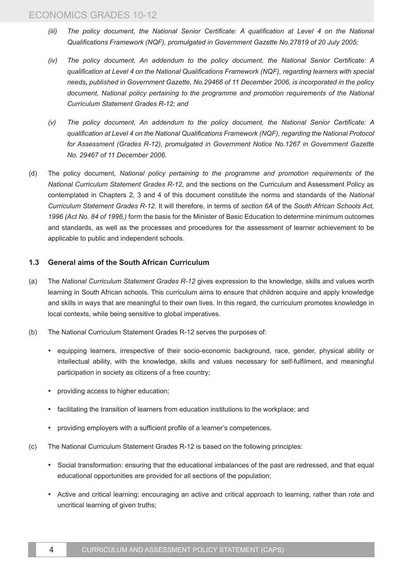- *(iii) The policy document, the National Senior Certificate: A qualification at Level 4 on the National Qualifications Framework (NQF), promulgated in Government Gazette No.27819 of 20 July 2005;*
- *(iv) The policy document, An addendum to the policy document, the National Senior Certificate: A qualification at Level 4 on the National Qualifications Framework (NQF), regarding learners with special needs, published in Government Gazette, No.29466 of 11 December 2006, is incorporated in the policy document, National policy pertaining to the programme and promotion requirements of the National Curriculum Statement Grades R-12; and*
- *(v) The policy document, An addendum to the policy document, the National Senior Certificate: A qualification at Level 4 on the National Qualifications Framework (NQF), regarding the National Protocol for Assessment (Grades R-12), promulgated in Government Notice No.1267 in Government Gazette No. 29467 of 11 December 2006.*
- (d) The policy document, *National policy pertaining to the programme and promotion requirements of the National Curriculum Statement Grades R-12*, and the sections on the Curriculum and Assessment Policy as contemplated in Chapters 2, 3 and 4 of this document constitute the norms and standards of the *National Curriculum Statement Grades R-12.* It will therefore, in terms of *section 6A* of the *South African Schools Act, 1996 (Act No. 84 of 1996,)* form the basis for the Minister of Basic Education to determine minimum outcomes and standards, as well as the processes and procedures for the assessment of learner achievement to be applicable to public and independent schools.

### **1.3 General aims of the South African Curriculum**

- (a) The *National Curriculum Statement Grades R-12* gives expression to the knowledge, skills and values worth learning in South African schools. This curriculum aims to ensure that children acquire and apply knowledge and skills in ways that are meaningful to their own lives. In this regard, the curriculum promotes knowledge in local contexts, while being sensitive to global imperatives.
- (b) The National Curriculum Statement Grades R-12 serves the purposes of:
	- • equipping learners, irrespective of their socio-economic background, race, gender, physical ability or intellectual ability, with the knowledge, skills and values necessary for self-fulfilment, and meaningful participation in society as citizens of a free country;
	- providing access to higher education;
	- facilitating the transition of learners from education institutions to the workplace; and
	- providing employers with a sufficient profile of a learner's competences.
- (c) The National Curriculum Statement Grades R-12 is based on the following principles:
	- • Social transformation: ensuring that the educational imbalances of the past are redressed, and that equal educational opportunities are provided for all sections of the population;
	- • Active and critical learning: encouraging an active and critical approach to learning, rather than rote and uncritical learning of given truths;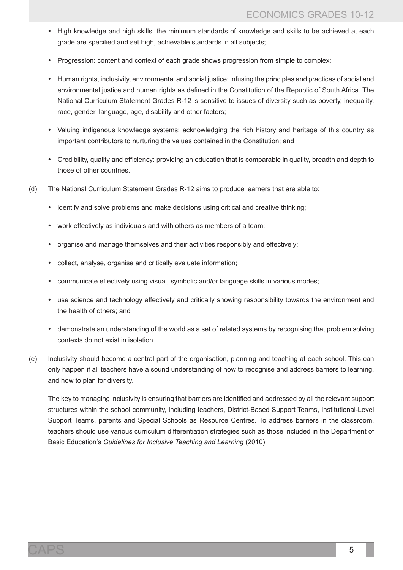- • High knowledge and high skills: the minimum standards of knowledge and skills to be achieved at each grade are specified and set high, achievable standards in all subjects;
- Progression: content and context of each grade shows progression from simple to complex;
- • Human rights, inclusivity, environmental and social justice: infusing the principles and practices of social and environmental justice and human rights as defined in the Constitution of the Republic of South Africa. The National Curriculum Statement Grades R-12 is sensitive to issues of diversity such as poverty, inequality, race, gender, language, age, disability and other factors;
- • Valuing indigenous knowledge systems: acknowledging the rich history and heritage of this country as important contributors to nurturing the values contained in the Constitution; and
- • Credibility, quality and efficiency: providing an education that is comparable in quality, breadth and depth to those of other countries.
- (d) The National Curriculum Statement Grades R-12 aims to produce learners that are able to:
	- identify and solve problems and make decisions using critical and creative thinking:
	- work effectively as individuals and with others as members of a team;
	- organise and manage themselves and their activities responsibly and effectively;
	- collect, analyse, organise and critically evaluate information;
	- communicate effectively using visual, symbolic and/or language skills in various modes;
	- • use science and technology effectively and critically showing responsibility towards the environment and the health of others; and
	- demonstrate an understanding of the world as a set of related systems by recognising that problem solving contexts do not exist in isolation.
- (e) Inclusivity should become a central part of the organisation, planning and teaching at each school. This can only happen if all teachers have a sound understanding of how to recognise and address barriers to learning, and how to plan for diversity.

 The key to managing inclusivity is ensuring that barriers are identified and addressed by all the relevant support structures within the school community, including teachers, District-Based Support Teams, Institutional-Level Support Teams, parents and Special Schools as Resource Centres. To address barriers in the classroom, teachers should use various curriculum differentiation strategies such as those included in the Department of Basic Education's *Guidelines for Inclusive Teaching and Learning* (2010).

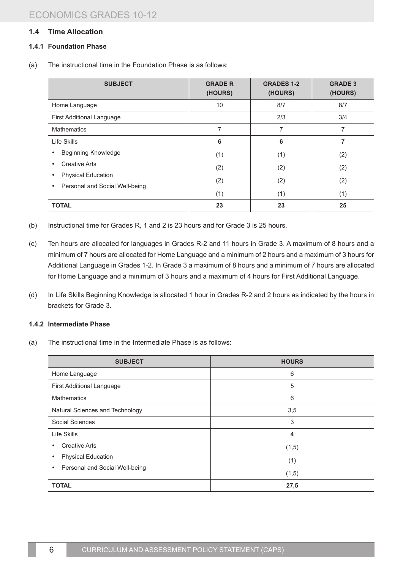# **1.4 Time Allocation**

### **1.4.1 Foundation Phase**

(a) The instructional time in the Foundation Phase is as follows:

| <b>SUBJECT</b>                                                                        | <b>GRADE R</b><br>(HOURS) | <b>GRADES 1-2</b><br>(HOURS) | <b>GRADE 3</b><br>(HOURS) |
|---------------------------------------------------------------------------------------|---------------------------|------------------------------|---------------------------|
| Home Language                                                                         | 10                        | 8/7                          | 8/7                       |
| <b>First Additional Language</b>                                                      |                           | 2/3                          | 3/4                       |
| <b>Mathematics</b>                                                                    | 7                         | 7                            | 7                         |
| Life Skills                                                                           | 6                         | 6                            | 7                         |
| <b>Beginning Knowledge</b><br>$\bullet$                                               | (1)                       | (1)                          | (2)                       |
| <b>Creative Arts</b><br>$\bullet$                                                     | (2)                       | (2)                          | (2)                       |
| <b>Physical Education</b><br>$\bullet$<br>Personal and Social Well-being<br>$\bullet$ | (2)                       | (2)                          | (2)                       |
|                                                                                       | (1)                       | (1)                          | (1)                       |
| <b>TOTAL</b>                                                                          | 23                        | 23                           | 25                        |

- (b) Instructional time for Grades R, 1 and 2 is 23 hours and for Grade 3 is 25 hours.
- (c) Ten hours are allocated for languages in Grades R-2 and 11 hours in Grade 3. A maximum of 8 hours and a minimum of 7 hours are allocated for Home Language and a minimum of 2 hours and a maximum of 3 hours for Additional Language in Grades 1-2. In Grade 3 a maximum of 8 hours and a minimum of 7 hours are allocated for Home Language and a minimum of 3 hours and a maximum of 4 hours for First Additional Language.
- (d) In Life Skills Beginning Knowledge is allocated 1 hour in Grades R-2 and 2 hours as indicated by the hours in brackets for Grade 3.

# **1.4.2 Intermediate Phase**

(a) The instructional time in the Intermediate Phase is as follows:

| <b>SUBJECT</b>                              | <b>HOURS</b> |
|---------------------------------------------|--------------|
| Home Language                               | 6            |
| <b>First Additional Language</b>            | 5            |
| <b>Mathematics</b>                          | 6            |
| Natural Sciences and Technology             | 3,5          |
| Social Sciences                             | 3            |
| Life Skills                                 | 4            |
| <b>Creative Arts</b><br>٠                   | (1,5)        |
| <b>Physical Education</b><br>٠              | (1)          |
| Personal and Social Well-being<br>$\bullet$ | (1,5)        |
| <b>TOTAL</b>                                | 27,5         |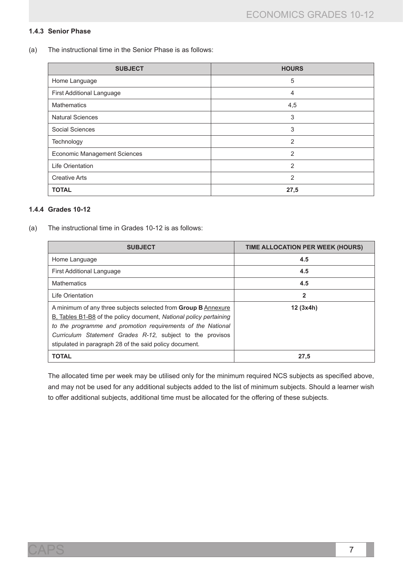### **1.4.3 Senior Phase**

(a) The instructional time in the Senior Phase is as follows:

| <b>SUBJECT</b>                      | <b>HOURS</b> |
|-------------------------------------|--------------|
| Home Language                       | 5            |
| <b>First Additional Language</b>    | 4            |
| <b>Mathematics</b>                  | 4,5          |
| <b>Natural Sciences</b>             | 3            |
| Social Sciences                     | 3            |
| Technology                          | 2            |
| <b>Economic Management Sciences</b> | 2            |
| Life Orientation                    | 2            |
| <b>Creative Arts</b>                | 2            |
| <b>TOTAL</b>                        | 27,5         |

#### **1.4.4 Grades 10-12**

(a) The instructional time in Grades 10-12 is as follows:

| <b>SUBJECT</b>                                                                                                                                                                                                                                                                                                                     | TIME ALLOCATION PER WEEK (HOURS) |
|------------------------------------------------------------------------------------------------------------------------------------------------------------------------------------------------------------------------------------------------------------------------------------------------------------------------------------|----------------------------------|
| Home Language                                                                                                                                                                                                                                                                                                                      | 4.5                              |
| <b>First Additional Language</b>                                                                                                                                                                                                                                                                                                   | 4.5                              |
| <b>Mathematics</b>                                                                                                                                                                                                                                                                                                                 | 4.5                              |
| Life Orientation                                                                                                                                                                                                                                                                                                                   | $\overline{2}$                   |
| A minimum of any three subjects selected from <b>Group B</b> Annexure<br>B. Tables B1-B8 of the policy document, National policy pertaining<br>to the programme and promotion requirements of the National<br>Curriculum Statement Grades R-12, subject to the provisos<br>stipulated in paragraph 28 of the said policy document. | 12(3x4h)                         |
| <b>TOTAL</b>                                                                                                                                                                                                                                                                                                                       | 27,5                             |

 The allocated time per week may be utilised only for the minimum required NCS subjects as specified above, and may not be used for any additional subjects added to the list of minimum subjects. Should a learner wish to offer additional subjects, additional time must be allocated for the offering of these subjects.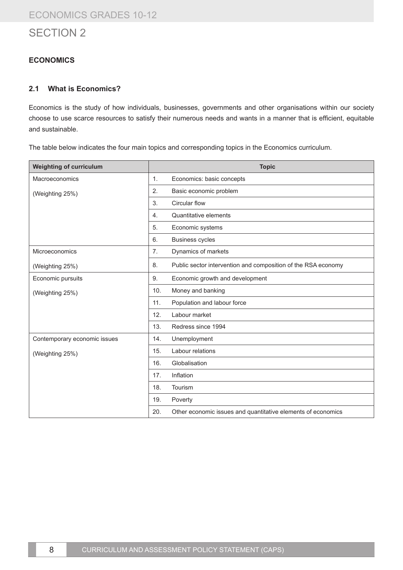# sECTION 2

# **ECONOMICS**

### **2.1 What is Economics?**

Economics is the study of how individuals, businesses, governments and other organisations within our society choose to use scarce resources to satisfy their numerous needs and wants in a manner that is efficient, equitable and sustainable.

The table below indicates the four main topics and corresponding topics in the Economics curriculum.

| <b>Weighting of curriculum</b> | <b>Topic</b>                                                        |
|--------------------------------|---------------------------------------------------------------------|
| Macroeconomics                 | Economics: basic concepts<br>1.                                     |
| (Weighting 25%)                | 2.<br>Basic economic problem                                        |
|                                | 3.<br>Circular flow                                                 |
|                                | Quantitative elements<br>4.                                         |
|                                | 5.<br>Economic systems                                              |
|                                | <b>Business cycles</b><br>6.                                        |
| Microeconomics                 | Dynamics of markets<br>7.                                           |
| (Weighting 25%)                | Public sector intervention and composition of the RSA economy<br>8. |
| Economic pursuits              | 9.<br>Economic growth and development                               |
| (Weighting 25%)                | 10.<br>Money and banking                                            |
|                                | 11.<br>Population and labour force                                  |
|                                | 12.<br>Labour market                                                |
|                                | 13.<br>Redress since 1994                                           |
| Contemporary economic issues   | 14.<br>Unemployment                                                 |
| (Weighting 25%)                | 15.<br>Labour relations                                             |
|                                | 16.<br>Globalisation                                                |
|                                | 17.<br>Inflation                                                    |
|                                | 18.<br>Tourism                                                      |
|                                | 19.<br>Poverty                                                      |
|                                | 20.<br>Other economic issues and quantitative elements of economics |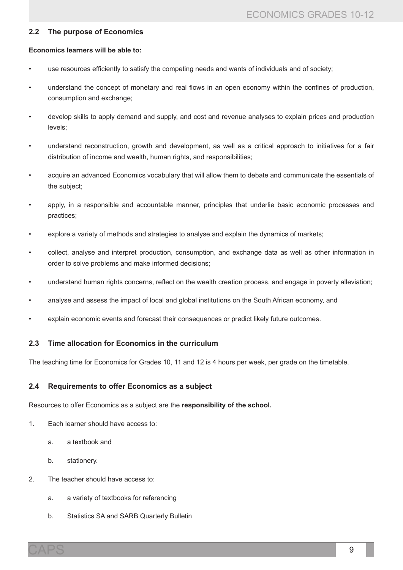### **2.2 The purpose of Economics**

#### **Economics learners will be able to:**

- use resources efficiently to satisfy the competing needs and wants of individuals and of society;
- understand the concept of monetary and real flows in an open economy within the confines of production, consumption and exchange;
- develop skills to apply demand and supply, and cost and revenue analyses to explain prices and production levels;
- understand reconstruction, growth and development, as well as a critical approach to initiatives for a fair distribution of income and wealth, human rights, and responsibilities;
- acquire an advanced Economics vocabulary that will allow them to debate and communicate the essentials of the subject;
- apply, in a responsible and accountable manner, principles that underlie basic economic processes and practices;
- • explore a variety of methods and strategies to analyse and explain the dynamics of markets;
- collect, analyse and interpret production, consumption, and exchange data as well as other information in order to solve problems and make informed decisions;
- understand human rights concerns, reflect on the wealth creation process, and engage in poverty alleviation;
- analyse and assess the impact of local and global institutions on the South African economy, and
- explain economic events and forecast their consequences or predict likely future outcomes.

#### **2.3 Time allocation for Economics in the curriculum**

The teaching time for Economics for Grades 10, 11 and 12 is 4 hours per week, per grade on the timetable.

#### **2.4 Requirements to offer Economics as a subject**

Resources to offer Economics as a subject are the **responsibility of the school.**

- 1. Each learner should have access to:
	- a. a textbook and
	- b. stationery.
- 2. The teacher should have access to:
	- a. a variety of textbooks for referencing
	- b. Statistics SA and SARB Quarterly Bulletin

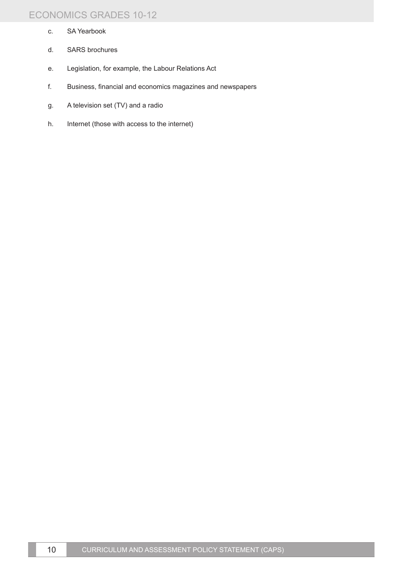- c. SA Yearbook
- d. SARS brochures
- e. Legislation, for example, the Labour Relations Act
- f. Business, financial and economics magazines and newspapers
- g. A television set (TV) and a radio
- h. Internet (those with access to the internet)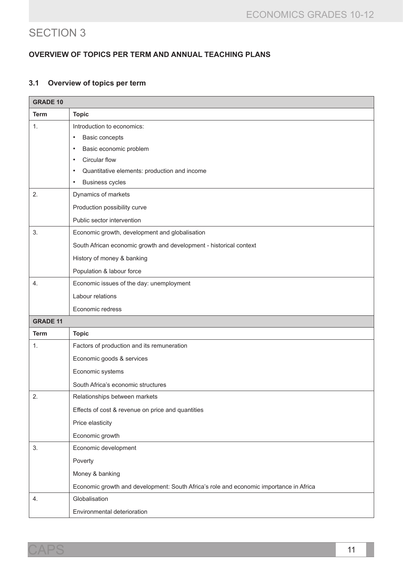# sECTION 3

# **OVERVIEW OF TOPICS PER TERM AND ANNUAL TEACHING PLANS**

# **3.1 Overview of topics per term**

| <b>GRADE 10</b> |                                                                                        |  |  |
|-----------------|----------------------------------------------------------------------------------------|--|--|
| <b>Term</b>     | <b>Topic</b>                                                                           |  |  |
| $\mathbf{1}$ .  | Introduction to economics:                                                             |  |  |
|                 | Basic concepts<br>٠                                                                    |  |  |
|                 | Basic economic problem                                                                 |  |  |
|                 | Circular flow<br>٠                                                                     |  |  |
|                 | Quantitative elements: production and income<br>$\bullet$                              |  |  |
|                 | <b>Business cycles</b><br>$\bullet$                                                    |  |  |
| 2.              | Dynamics of markets                                                                    |  |  |
|                 | Production possibility curve                                                           |  |  |
|                 | Public sector intervention                                                             |  |  |
| 3.              | Economic growth, development and globalisation                                         |  |  |
|                 | South African economic growth and development - historical context                     |  |  |
|                 | History of money & banking                                                             |  |  |
|                 | Population & labour force                                                              |  |  |
| 4.              | Economic issues of the day: unemployment                                               |  |  |
|                 | Labour relations                                                                       |  |  |
|                 | Economic redress                                                                       |  |  |
| <b>GRADE 11</b> |                                                                                        |  |  |
| <b>Term</b>     | <b>Topic</b>                                                                           |  |  |
| 1.              | Factors of production and its remuneration                                             |  |  |
|                 | Economic goods & services                                                              |  |  |
|                 | Economic systems                                                                       |  |  |
|                 | South Africa's economic structures                                                     |  |  |
| 2.              | Relationships between markets                                                          |  |  |
|                 | Effects of cost & revenue on price and quantities                                      |  |  |
|                 | Price elasticity                                                                       |  |  |
|                 | Economic growth                                                                        |  |  |
| 3.              | Economic development                                                                   |  |  |
|                 | Poverty                                                                                |  |  |
|                 | Money & banking                                                                        |  |  |
|                 | Economic growth and development: South Africa's role and economic importance in Africa |  |  |
| 4.              | Globalisation                                                                          |  |  |
|                 | Environmental deterioration                                                            |  |  |

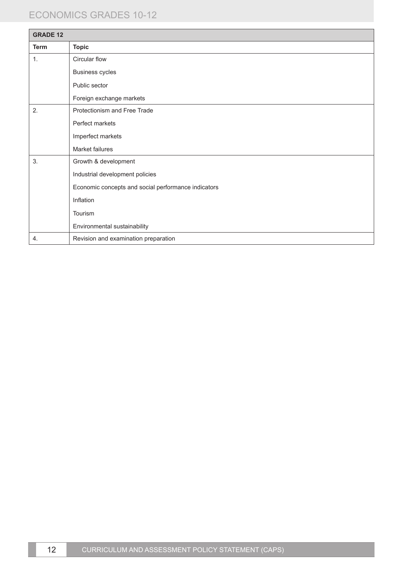| <b>GRADE 12</b> |                                                     |
|-----------------|-----------------------------------------------------|
| <b>Term</b>     | <b>Topic</b>                                        |
| 1.              | Circular flow                                       |
|                 | <b>Business cycles</b>                              |
|                 | Public sector                                       |
|                 | Foreign exchange markets                            |
| 2.              | Protectionism and Free Trade                        |
|                 | Perfect markets                                     |
|                 | Imperfect markets                                   |
|                 | Market failures                                     |
| 3.              | Growth & development                                |
|                 | Industrial development policies                     |
|                 | Economic concepts and social performance indicators |
|                 | Inflation                                           |
|                 | Tourism                                             |
|                 | Environmental sustainability                        |
| 4.              | Revision and examination preparation                |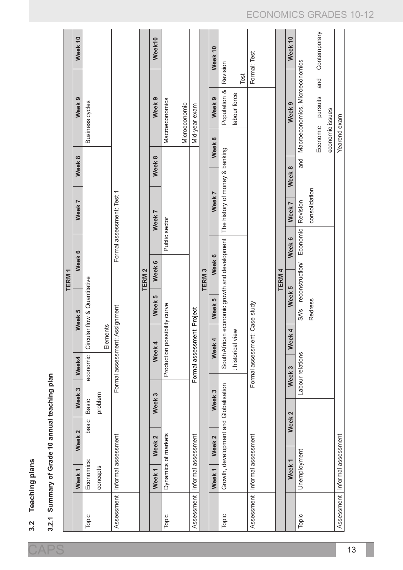|            |                                  |                                       |                   |                               |                              |                              | TERM <sub>1</sub>                             |               |                           |                                |                 |                                |                    |                    |
|------------|----------------------------------|---------------------------------------|-------------------|-------------------------------|------------------------------|------------------------------|-----------------------------------------------|---------------|---------------------------|--------------------------------|-----------------|--------------------------------|--------------------|--------------------|
|            | Week <sub>1</sub>                | Week <sub>2</sub>                     | Week <sub>3</sub> | Week4                         | Week <sub>5</sub>            |                              | Week 6                                        |               | Week 7                    | Week <sub>8</sub>              |                 | Week <sub>9</sub>              |                    | Week <sub>10</sub> |
| Topic      | Economics:                       | basic                                 | Basic             | economic                      |                              | Circular flow & Quantitative |                                               |               |                           |                                | Business cycles |                                |                    |                    |
|            | concepts                         |                                       | problem           |                               | Elements                     |                              |                                               |               |                           |                                |                 |                                |                    |                    |
|            | Assessment   Informal assessment |                                       |                   | Formal assessment: Assignment |                              |                              |                                               |               | Formal assessment: Test 1 |                                |                 |                                |                    |                    |
|            |                                  |                                       |                   |                               |                              |                              |                                               |               |                           |                                |                 |                                |                    |                    |
|            |                                  |                                       |                   |                               |                              |                              | TERM <sub>2</sub>                             |               |                           |                                |                 |                                |                    |                    |
|            | Week <sub>1</sub>                | Week <sub>2</sub>                     | S<br><b>Week</b>  | Week 4                        |                              | Week <sub>5</sub>            | Week 6                                        |               | Week 7                    | Week <sub>8</sub>              |                 | Week <sub>9</sub>              |                    | Week10             |
| Topic      |                                  | Dynamics of markets                   |                   |                               | Production possibility curve |                              |                                               | Public sector |                           |                                | Microeconomic   | Macroeconomics                 |                    |                    |
|            | Assessment   Informal assessment |                                       |                   | Formal assessment: Project    |                              |                              |                                               |               |                           |                                | Mid-year exam   |                                |                    |                    |
|            |                                  |                                       |                   |                               |                              |                              | TERM <sub>3</sub>                             |               |                           |                                |                 |                                |                    |                    |
|            | Week <sub>1</sub>                | Week <sub>2</sub>                     | Week <sub>3</sub> |                               | Week 4                       | Week <sub>5</sub>            | Week 6                                        |               | Week 7                    |                                | Week 8          | Week <sub>9</sub>              | Week <sub>10</sub> |                    |
| Topic      |                                  | Growth, development and Globalisation |                   |                               |                              |                              | South African economic growth and development |               |                           | The history of money & banking |                 | Population &                   | Revision           |                    |
|            |                                  |                                       |                   |                               | : historical view            |                              |                                               |               |                           |                                |                 | labour force                   | Test               |                    |
| Assessment |                                  | Informal assessment                   |                   | Formal assessment: Case study |                              |                              |                                               |               |                           |                                |                 |                                | Formal: Test       |                    |
|            |                                  |                                       |                   |                               |                              |                              | TERM 4                                        |               |                           |                                |                 |                                |                    |                    |
|            | Week <sub>1</sub>                | Week <sub>2</sub>                     |                   | Week <sub>3</sub>             | Week <sub>4</sub>            | Week <sub>5</sub>            |                                               | Week 6        | Week 7                    | Week 8                         |                 | Week <sub>9</sub>              |                    | Week <sub>10</sub> |
| Topic      | Unemployment                     |                                       |                   | Labour relations              |                              | SA's                         | reconstruction/                               | Economic      | Revision                  | and                            |                 | Macroeconomics, Microeconomics |                    |                    |
|            |                                  |                                       |                   |                               |                              | <b>Redress</b>               |                                               |               | consolidation             |                                | Economic        | pursuits                       | and                | Contemporary       |
|            |                                  |                                       |                   |                               |                              |                              |                                               |               |                           |                                | economic issues |                                |                    |                    |
| Assessment | Informal assessment              |                                       |                   |                               |                              |                              |                                               |               |                           |                                | Yearend exam    |                                |                    |                    |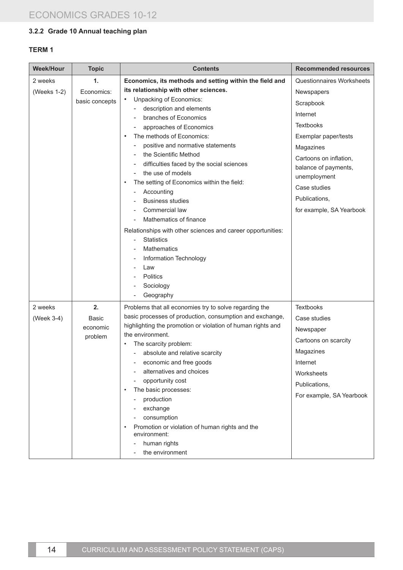# **3.2.2 Grade 10 Annual teaching plan**

### **TERM 1**

| <b>Week/Hour</b> | <b>Topic</b>   | <b>Contents</b>                                                   | <b>Recommended resources</b> |
|------------------|----------------|-------------------------------------------------------------------|------------------------------|
| 2 weeks          | 1.             | Economics, its methods and setting within the field and           | Questionnaires Worksheets    |
| (Weeks 1-2)      | Economics:     | its relationship with other sciences.                             | Newspapers                   |
|                  | basic concepts | Unpacking of Economics:                                           | Scrapbook                    |
|                  |                | description and elements                                          | Internet                     |
|                  |                | branches of Economics                                             | <b>Textbooks</b>             |
|                  |                | approaches of Economics<br>The methods of Economics:<br>$\bullet$ |                              |
|                  |                | positive and normative statements                                 | Exemplar paper/tests         |
|                  |                | the Scientific Method                                             | Magazines                    |
|                  |                | difficulties faced by the social sciences                         | Cartoons on inflation,       |
|                  |                | the use of models                                                 | balance of payments,         |
|                  |                | The setting of Economics within the field:<br>$\bullet$           | unemployment                 |
|                  |                | Accounting                                                        | Case studies                 |
|                  |                | <b>Business studies</b>                                           | Publications,                |
|                  |                | Commercial law                                                    | for example, SA Yearbook     |
|                  |                | Mathematics of finance                                            |                              |
|                  |                | Relationships with other sciences and career opportunities:       |                              |
|                  |                | <b>Statistics</b>                                                 |                              |
|                  |                | Mathematics                                                       |                              |
|                  |                | Information Technology                                            |                              |
|                  |                | Law<br><b>Politics</b>                                            |                              |
|                  |                | Sociology                                                         |                              |
|                  |                | Geography                                                         |                              |
| 2 weeks          | 2.             | Problems that all economies try to solve regarding the            | <b>Textbooks</b>             |
| (Week 3-4)       | Basic          | basic processes of production, consumption and exchange,          | Case studies                 |
|                  | economic       | highlighting the promotion or violation of human rights and       |                              |
|                  | problem        | the environment.                                                  | Newspaper                    |
|                  |                | The scarcity problem:                                             | Cartoons on scarcity         |
|                  |                | absolute and relative scarcity                                    | Magazines                    |
|                  |                | economic and free goods                                           | Internet                     |
|                  |                | alternatives and choices                                          | Worksheets                   |
|                  |                | opportunity cost<br>The basic processes:                          | Publications,                |
|                  |                | production                                                        | For example, SA Yearbook     |
|                  |                | exchange                                                          |                              |
|                  |                | consumption                                                       |                              |
|                  |                | Promotion or violation of human rights and the<br>environment:    |                              |
|                  |                | human rights                                                      |                              |
|                  |                | the environment                                                   |                              |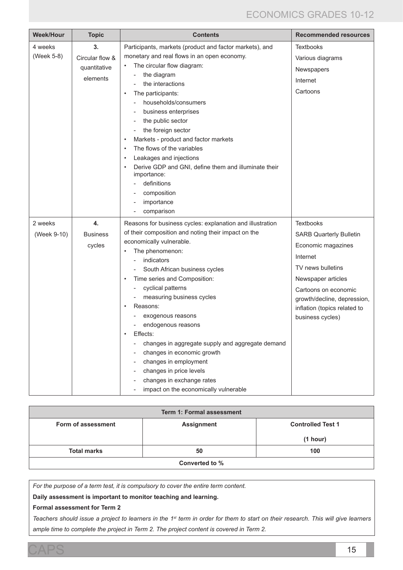| <b>Week/Hour</b>       | <b>Topic</b>                                      | <b>Contents</b>                                                                                                                                                                                                                                                                                                                                                                                                                                                                                                                                                                 | <b>Recommended resources</b>                                                                                                                                                                                                               |
|------------------------|---------------------------------------------------|---------------------------------------------------------------------------------------------------------------------------------------------------------------------------------------------------------------------------------------------------------------------------------------------------------------------------------------------------------------------------------------------------------------------------------------------------------------------------------------------------------------------------------------------------------------------------------|--------------------------------------------------------------------------------------------------------------------------------------------------------------------------------------------------------------------------------------------|
| 4 weeks<br>(Week 5-8)  | 3.<br>Circular flow &<br>quantitative<br>elements | Participants, markets (product and factor markets), and<br>monetary and real flows in an open economy.<br>The circular flow diagram:<br>the diagram<br>the interactions<br>The participants:<br>$\bullet$<br>households/consumers<br>business enterprises<br>the public sector<br>the foreign sector<br>Markets - product and factor markets<br>$\bullet$<br>The flows of the variables<br>$\bullet$<br>Leakages and injections<br>$\bullet$<br>Derive GDP and GNI, define them and illuminate their<br>importance:<br>definitions<br>composition<br>importance<br>comparison   | <b>Textbooks</b><br>Various diagrams<br>Newspapers<br>Internet<br>Cartoons                                                                                                                                                                 |
| 2 weeks<br>(Week 9-10) | 4.<br><b>Business</b><br>cycles                   | Reasons for business cycles: explanation and illustration<br>of their composition and noting their impact on the<br>economically vulnerable.<br>The phenomenon:<br>indicators<br>South African business cycles<br>Time series and Composition:<br>cyclical patterns<br>measuring business cycles<br>Reasons:<br>exogenous reasons<br>endogenous reasons<br>Effects:<br>changes in aggregate supply and aggregate demand<br>changes in economic growth<br>changes in employment<br>changes in price levels<br>changes in exchange rates<br>impact on the economically vulnerable | <b>Textbooks</b><br><b>SARB Quarterly Bulletin</b><br>Economic magazines<br>Internet<br>TV news bulletins<br>Newspaper articles<br>Cartoons on economic<br>growth/decline, depression,<br>inflation (topics related to<br>business cycles) |

| Term 1: Formal assessment |                   |                          |
|---------------------------|-------------------|--------------------------|
| Form of assessment        | <b>Assignment</b> | <b>Controlled Test 1</b> |
|                           |                   | (1 hour)                 |
| <b>Total marks</b>        | 50                | 100                      |
| Converted to %            |                   |                          |

*For the purpose of a term test, it is compulsory to cover the entire term content.* 

**Daily assessment is important to monitor teaching and learning.** 

#### **Formal assessment for Term 2**

Teachers should issue a project to learners in the 1<sup>st</sup> term in order for them to start on their research. This will give learners *ample time to complete the project in Term 2. The project content is covered in Term 2.*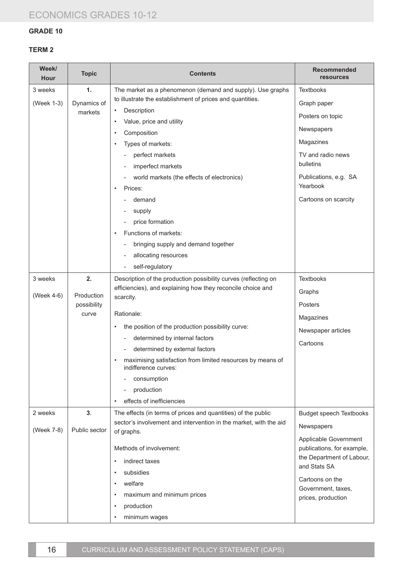# **GRADE 10**

# **TERM 2**

| Week/<br>Hour | <b>Topic</b>                                                | <b>Contents</b>                                                                                  | Recommended<br><b>resources</b>                         |  |
|---------------|-------------------------------------------------------------|--------------------------------------------------------------------------------------------------|---------------------------------------------------------|--|
| 3 weeks       | 1.                                                          | The market as a phenomenon (demand and supply). Use graphs                                       | <b>Textbooks</b>                                        |  |
| (Week 1-3)    | Dynamics of                                                 | to illustrate the establishment of prices and quantities.                                        | Graph paper                                             |  |
|               | markets                                                     | Description<br>$\bullet$                                                                         | Posters on topic                                        |  |
|               |                                                             | Value, price and utility<br>$\bullet$                                                            | Newspapers                                              |  |
|               |                                                             | Composition<br>٠                                                                                 | Magazines                                               |  |
|               |                                                             | Types of markets:<br>٠                                                                           |                                                         |  |
|               |                                                             | perfect markets                                                                                  | TV and radio news<br>bulletins                          |  |
|               |                                                             | imperfect markets                                                                                |                                                         |  |
|               |                                                             | world markets (the effects of electronics)                                                       | Publications, e.g. SA<br>Yearbook                       |  |
|               |                                                             | Prices:<br>$\bullet$<br>demand                                                                   | Cartoons on scarcity                                    |  |
|               |                                                             |                                                                                                  |                                                         |  |
|               |                                                             | supply<br>price formation                                                                        |                                                         |  |
|               |                                                             | Functions of markets:<br>$\bullet$                                                               |                                                         |  |
|               |                                                             | bringing supply and demand together                                                              |                                                         |  |
|               |                                                             | allocating resources                                                                             |                                                         |  |
|               |                                                             | self-regulatory                                                                                  |                                                         |  |
| 3 weeks       | 2.                                                          | Description of the production possibility curves (reflecting on                                  | <b>Textbooks</b>                                        |  |
|               | efficiencies), and explaining how they reconcile choice and | Graphs                                                                                           |                                                         |  |
| (Week 4-6)    | Production                                                  | scarcity.                                                                                        |                                                         |  |
|               | possibility<br>curve                                        | Rationale:                                                                                       | Posters                                                 |  |
|               |                                                             |                                                                                                  | Magazines                                               |  |
|               |                                                             | the position of the production possibility curve:<br>$\bullet$<br>determined by internal factors | Newspaper articles                                      |  |
|               |                                                             | determined by external factors                                                                   | Cartoons                                                |  |
|               |                                                             | maximising satisfaction from limited resources by means of<br>indifference curves:               |                                                         |  |
|               |                                                             | consumption                                                                                      |                                                         |  |
|               |                                                             | production                                                                                       |                                                         |  |
|               |                                                             | effects of inefficiencies<br>$\bullet$                                                           |                                                         |  |
| 2 weeks       | 3.                                                          | The effects (in terms of prices and quantities) of the public                                    | <b>Budget speech Textbooks</b>                          |  |
|               |                                                             | sector's involvement and intervention in the market, with the aid                                |                                                         |  |
| (Week 7-8)    | Public sector                                               | of graphs.                                                                                       | Newspapers                                              |  |
|               |                                                             | Methods of involvement:                                                                          | Applicable Government                                   |  |
|               |                                                             |                                                                                                  | publications, for example,<br>the Department of Labour, |  |
|               |                                                             | indirect taxes<br>٠                                                                              | and Stats SA                                            |  |
|               |                                                             | subsidies<br>٠                                                                                   | Cartoons on the                                         |  |
|               |                                                             | welfare<br>$\bullet$                                                                             | Government, taxes,                                      |  |
|               |                                                             | maximum and minimum prices<br>٠                                                                  | prices, production                                      |  |
|               |                                                             | production<br>$\bullet$                                                                          |                                                         |  |
|               |                                                             | minimum wages<br>٠                                                                               |                                                         |  |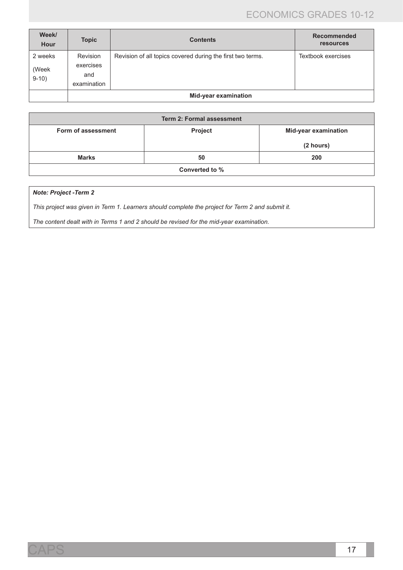| Week/<br><b>Hour</b>       | <b>Topic</b>                                | <b>Contents</b>                                            | Recommended<br><b>resources</b> |
|----------------------------|---------------------------------------------|------------------------------------------------------------|---------------------------------|
| 2 weeks<br>(Week<br>$9-10$ | Revision<br>exercises<br>and<br>examination | Revision of all topics covered during the first two terms. | <b>Textbook exercises</b>       |
|                            |                                             | <b>Mid-year examination</b>                                |                                 |

| <b>Term 2: Formal assessment</b>     |    |                             |
|--------------------------------------|----|-----------------------------|
| <b>Project</b><br>Form of assessment |    | <b>Mid-year examination</b> |
|                                      |    | (2 hours)                   |
| <b>Marks</b>                         | 50 | 200                         |
| Converted to %                       |    |                             |

### *Note: Project -Term 2*

*This project was given in Term 1. Learners should complete the project for Term 2 and submit it.*

*The content dealt with in Terms 1 and 2 should be revised for the mid-year examination.*

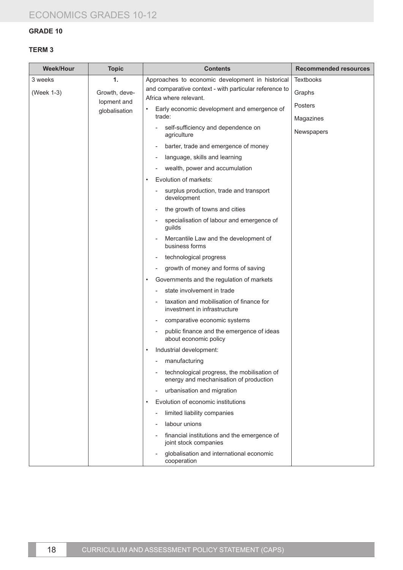# **GRADE 10**

# **TERM 3**

| <b>Week/Hour</b> | <b>Topic</b>                 | <b>Contents</b>                                                                       | <b>Recommended resources</b> |
|------------------|------------------------------|---------------------------------------------------------------------------------------|------------------------------|
| 3 weeks          | 1.                           | Approaches to economic development in historical                                      | <b>Textbooks</b>             |
| (Week 1-3)       | Growth, deve-                | and comparative context - with particular reference to<br>Africa where relevant.      | Graphs                       |
|                  | lopment and<br>globalisation | Early economic development and emergence of<br>trade:                                 | Posters                      |
|                  |                              | self-sufficiency and dependence on<br>agriculture                                     | Magazines<br>Newspapers      |
|                  |                              | barter, trade and emergence of money<br>$\overline{a}$                                |                              |
|                  |                              | language, skills and learning                                                         |                              |
|                  |                              | wealth, power and accumulation                                                        |                              |
|                  |                              | Evolution of markets:<br>$\bullet$                                                    |                              |
|                  |                              | surplus production, trade and transport<br>development                                |                              |
|                  |                              | the growth of towns and cities<br>$\overline{a}$                                      |                              |
|                  |                              | specialisation of labour and emergence of<br>guilds                                   |                              |
|                  |                              | Mercantile Law and the development of<br>business forms                               |                              |
|                  |                              | technological progress<br>$\overline{a}$                                              |                              |
|                  |                              | growth of money and forms of saving                                                   |                              |
|                  |                              | Governments and the regulation of markets<br>٠                                        |                              |
|                  |                              | state involvement in trade                                                            |                              |
|                  |                              | taxation and mobilisation of finance for<br>investment in infrastructure              |                              |
|                  |                              | comparative economic systems<br>÷,                                                    |                              |
|                  |                              | public finance and the emergence of ideas<br>about economic policy                    |                              |
|                  |                              | Industrial development:<br>٠                                                          |                              |
|                  |                              | manufacturing                                                                         |                              |
|                  |                              | technological progress, the mobilisation of<br>energy and mechanisation of production |                              |
|                  |                              | urbanisation and migration<br>÷,                                                      |                              |
|                  |                              | Evolution of economic institutions<br>$\bullet$                                       |                              |
|                  |                              | limited liability companies<br>$\overline{a}$                                         |                              |
|                  |                              | labour unions<br>÷,                                                                   |                              |
|                  |                              | financial institutions and the emergence of<br>÷,<br>joint stock companies            |                              |
|                  |                              | globalisation and international economic<br>cooperation                               |                              |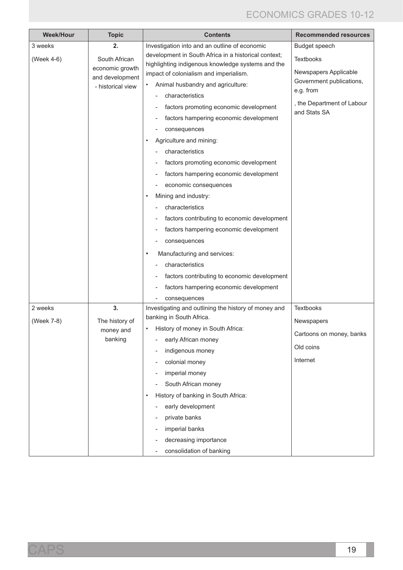| <b>Week/Hour</b> | <b>Topic</b>                         | <b>Contents</b>                                                                             | <b>Recommended resources</b> |
|------------------|--------------------------------------|---------------------------------------------------------------------------------------------|------------------------------|
| 3 weeks          | 2.                                   | Investigation into and an outline of economic                                               | Budget speech                |
| (Week 4-6)       | South African<br>economic growth     | development in South Africa in a historical context;                                        | <b>Textbooks</b>             |
|                  |                                      | highlighting indigenous knowledge systems and the<br>impact of colonialism and imperialism. | Newspapers Applicable        |
|                  | and development<br>- historical view | Animal husbandry and agriculture:<br>٠                                                      | Government publications,     |
|                  |                                      | characteristics                                                                             | e.g. from                    |
|                  |                                      | factors promoting economic development                                                      | , the Department of Labour   |
|                  |                                      | factors hampering economic development                                                      | and Stats SA                 |
|                  |                                      | consequences                                                                                |                              |
|                  |                                      | Agriculture and mining:                                                                     |                              |
|                  |                                      | characteristics                                                                             |                              |
|                  |                                      | factors promoting economic development                                                      |                              |
|                  |                                      | factors hampering economic development                                                      |                              |
|                  |                                      | economic consequences                                                                       |                              |
|                  |                                      | Mining and industry:<br>٠                                                                   |                              |
|                  |                                      | characteristics                                                                             |                              |
|                  |                                      | factors contributing to economic development                                                |                              |
|                  |                                      | factors hampering economic development                                                      |                              |
|                  |                                      | consequences                                                                                |                              |
|                  |                                      | Manufacturing and services:                                                                 |                              |
|                  |                                      | characteristics                                                                             |                              |
|                  |                                      | factors contributing to economic development                                                |                              |
|                  |                                      | factors hampering economic development                                                      |                              |
|                  |                                      | consequences                                                                                |                              |
| 2 weeks          | 3.                                   | Investigating and outlining the history of money and                                        | <b>Textbooks</b>             |
| (Week 7-8)       | The history of                       | banking in South Africa.                                                                    | Newspapers                   |
|                  | money and                            | History of money in South Africa:<br>٠                                                      | Cartoons on money, banks     |
|                  | banking                              | early African money                                                                         | Old coins                    |
|                  |                                      | indigenous money<br>$\qquad \qquad \blacksquare$                                            | Internet                     |
|                  |                                      | colonial money<br>imperial money                                                            |                              |
|                  |                                      | South African money                                                                         |                              |
|                  |                                      | History of banking in South Africa:<br>٠                                                    |                              |
|                  |                                      | early development                                                                           |                              |
|                  |                                      | private banks                                                                               |                              |
|                  |                                      | imperial banks                                                                              |                              |
|                  |                                      | decreasing importance                                                                       |                              |
|                  |                                      | consolidation of banking                                                                    |                              |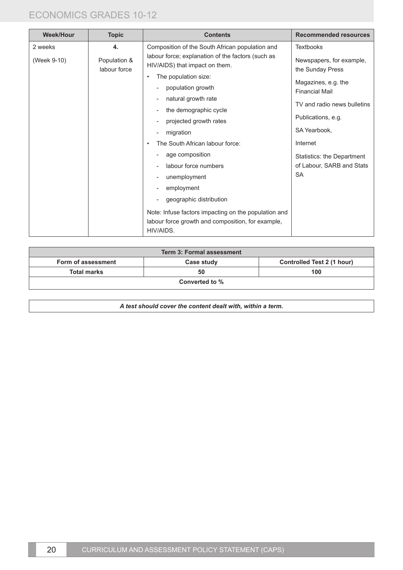| <b>Week/Hour</b> | <b>Topic</b>                 | <b>Contents</b>                                                                                                        | <b>Recommended resources</b>                 |
|------------------|------------------------------|------------------------------------------------------------------------------------------------------------------------|----------------------------------------------|
| 2 weeks          | 4.                           | Composition of the South African population and                                                                        | <b>Textbooks</b>                             |
| (Week 9-10)      | Population &<br>labour force | labour force; explanation of the factors (such as<br>HIV/AIDS) that impact on them.                                    | Newspapers, for example,<br>the Sunday Press |
|                  |                              | The population size:<br>$\bullet$<br>population growth                                                                 | Magazines, e.g. the<br><b>Financial Mail</b> |
|                  |                              | natural growth rate<br>the demographic cycle                                                                           | TV and radio news bulletins                  |
|                  |                              | projected growth rates                                                                                                 | Publications, e.g.                           |
|                  |                              | migration                                                                                                              | SA Yearbook,                                 |
|                  |                              | The South African labour force:<br>$\bullet$<br>age composition                                                        | Internet<br>Statistics: the Department       |
|                  |                              | labour force numbers<br>unemployment                                                                                   | of Labour, SARB and Stats<br><b>SA</b>       |
|                  |                              | employment<br>geographic distribution                                                                                  |                                              |
|                  |                              | Note: Infuse factors impacting on the population and<br>labour force growth and composition, for example,<br>HIV/AIDS. |                                              |

| Term 3: Formal assessment                                      |    |     |  |
|----------------------------------------------------------------|----|-----|--|
| Controlled Test 2 (1 hour)<br>Form of assessment<br>Case study |    |     |  |
| <b>Total marks</b>                                             | 50 | 100 |  |
| Converted to %                                                 |    |     |  |

*A test should cover the content dealt with, within a term.*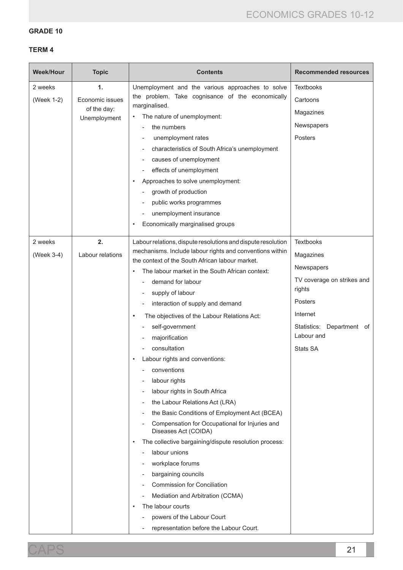# **GRADE 10**

### **TERM 4**

| Week/Hour             | <b>Topic</b>                                                     | <b>Contents</b>                                                                                                                                                                                                                                                                                                                                                                                                                                                                                                                                                                                                                                                                                                                                                                                                                                                                                                                                                                                                                  | <b>Recommended resources</b>                                                                                                                                            |
|-----------------------|------------------------------------------------------------------|----------------------------------------------------------------------------------------------------------------------------------------------------------------------------------------------------------------------------------------------------------------------------------------------------------------------------------------------------------------------------------------------------------------------------------------------------------------------------------------------------------------------------------------------------------------------------------------------------------------------------------------------------------------------------------------------------------------------------------------------------------------------------------------------------------------------------------------------------------------------------------------------------------------------------------------------------------------------------------------------------------------------------------|-------------------------------------------------------------------------------------------------------------------------------------------------------------------------|
| 2 weeks<br>(Week 1-2) | $\mathbf{1}$ .<br>Economic issues<br>of the day:<br>Unemployment | Unemployment and the various approaches to solve<br>the problem. Take cognisance of the economically<br>marginalised.<br>The nature of unemployment:<br>the numbers<br>unemployment rates<br>characteristics of South Africa's unemployment<br>causes of unemployment<br>effects of unemployment<br>Approaches to solve unemployment:<br>$\bullet$                                                                                                                                                                                                                                                                                                                                                                                                                                                                                                                                                                                                                                                                               | <b>Textbooks</b><br>Cartoons<br>Magazines<br>Newspapers<br>Posters                                                                                                      |
|                       |                                                                  | growth of production<br>public works programmes<br>unemployment insurance<br>Economically marginalised groups<br>$\bullet$                                                                                                                                                                                                                                                                                                                                                                                                                                                                                                                                                                                                                                                                                                                                                                                                                                                                                                       |                                                                                                                                                                         |
| 2 weeks<br>(Week 3-4) | 2.<br>Labour relations                                           | Labour relations, dispute resolutions and dispute resolution<br>mechanisms. Include labour rights and conventions within<br>the context of the South African labour market.<br>The labour market in the South African context:<br>$\bullet$<br>demand for labour<br>supply of labour<br>interaction of supply and demand<br>The objectives of the Labour Relations Act:<br>$\bullet$<br>self-government<br>majorification<br>consultation<br>Labour rights and conventions:<br>conventions<br>labour rights<br>labour rights in South Africa<br>the Labour Relations Act (LRA)<br>the Basic Conditions of Employment Act (BCEA)<br>Compensation for Occupational for Injuries and<br>Diseases Act (COIDA)<br>The collective bargaining/dispute resolution process:<br>$\bullet$<br>labour unions<br>workplace forums<br>bargaining councils<br><b>Commission for Conciliation</b><br>Mediation and Arbitration (CCMA)<br>The labour courts<br>$\bullet$<br>powers of the Labour Court<br>representation before the Labour Court. | <b>Textbooks</b><br>Magazines<br>Newspapers<br>TV coverage on strikes and<br>rights<br>Posters<br>Internet<br>Statistics:<br>Department<br>of<br>Labour and<br>Stats SA |

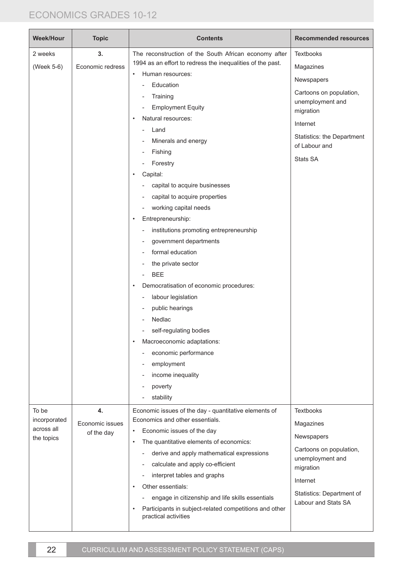| <b>Week/Hour</b> | <b>Topic</b>     | <b>Contents</b>                                                                             | <b>Recommended resources</b>                             |
|------------------|------------------|---------------------------------------------------------------------------------------------|----------------------------------------------------------|
| 2 weeks          | 3.               | The reconstruction of the South African economy after                                       | <b>Textbooks</b>                                         |
| (Week 5-6)       | Economic redress | 1994 as an effort to redress the inequalities of the past.                                  | Magazines                                                |
|                  |                  | Human resources:<br>$\bullet$                                                               | Newspapers                                               |
|                  |                  | Education<br>Training<br><b>Employment Equity</b>                                           | Cartoons on population,<br>unemployment and<br>migration |
|                  |                  | Natural resources:                                                                          | Internet                                                 |
|                  |                  | Land<br>Minerals and energy                                                                 | <b>Statistics: the Department</b><br>of Labour and       |
|                  |                  | Fishing<br>Forestry                                                                         | Stats SA                                                 |
|                  |                  | Capital:<br>$\bullet$                                                                       |                                                          |
|                  |                  | capital to acquire businesses                                                               |                                                          |
|                  |                  | capital to acquire properties                                                               |                                                          |
|                  |                  | working capital needs                                                                       |                                                          |
|                  |                  | Entrepreneurship:<br>$\bullet$                                                              |                                                          |
|                  |                  | institutions promoting entrepreneurship                                                     |                                                          |
|                  |                  | government departments                                                                      |                                                          |
|                  |                  | formal education                                                                            |                                                          |
|                  |                  | the private sector                                                                          |                                                          |
|                  |                  | <b>BEE</b>                                                                                  |                                                          |
|                  |                  | Democratisation of economic procedures:<br>$\bullet$<br>labour legislation                  |                                                          |
|                  |                  | public hearings                                                                             |                                                          |
|                  |                  | Nedlac                                                                                      |                                                          |
|                  |                  | self-regulating bodies                                                                      |                                                          |
|                  |                  | Macroeconomic adaptations:                                                                  |                                                          |
|                  |                  | economic performance                                                                        |                                                          |
|                  |                  | employment                                                                                  |                                                          |
|                  |                  | income inequality                                                                           |                                                          |
|                  |                  | poverty                                                                                     |                                                          |
|                  |                  | stability                                                                                   |                                                          |
| To be            | 4.               | Economic issues of the day - quantitative elements of                                       | <b>Textbooks</b>                                         |
| incorporated     | Economic issues  | Economics and other essentials.                                                             | Magazines                                                |
| across all       | of the day       | Economic issues of the day<br>$\bullet$                                                     |                                                          |
| the topics       |                  | The quantitative elements of economics:<br>$\bullet$                                        | Newspapers                                               |
|                  |                  | derive and apply mathematical expressions                                                   | Cartoons on population,<br>unemployment and              |
|                  |                  | calculate and apply co-efficient                                                            | migration                                                |
|                  |                  | interpret tables and graphs                                                                 | Internet                                                 |
|                  |                  | Other essentials:<br>$\bullet$                                                              |                                                          |
|                  |                  | engage in citizenship and life skills essentials                                            | Statistics: Department of<br>Labour and Stats SA         |
|                  |                  | Participants in subject-related competitions and other<br>$\bullet$<br>practical activities |                                                          |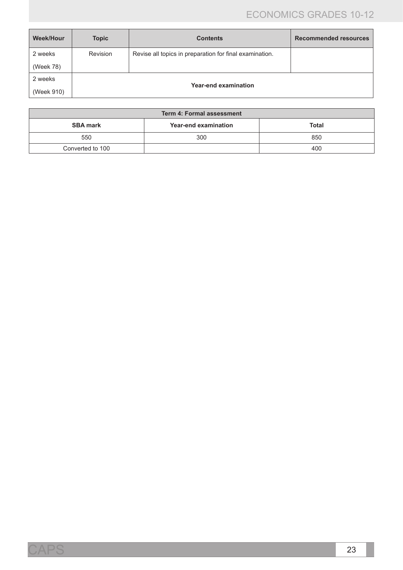| <b>Week/Hour</b> | <b>Topic</b> | <b>Contents</b>                                         | <b>Recommended resources</b> |
|------------------|--------------|---------------------------------------------------------|------------------------------|
| 2 weeks          | Revision     | Revise all topics in preparation for final examination. |                              |
| (Week 78)        |              |                                                         |                              |
| 2 weeks          |              | Year-end examination                                    |                              |
| (Week 910)       |              |                                                         |                              |

| <b>Term 4: Formal assessment</b> |                             |       |
|----------------------------------|-----------------------------|-------|
| <b>SBA mark</b>                  | <b>Year-end examination</b> | Total |
| 550                              | 300                         | 850   |
| Converted to 100                 |                             | 400   |

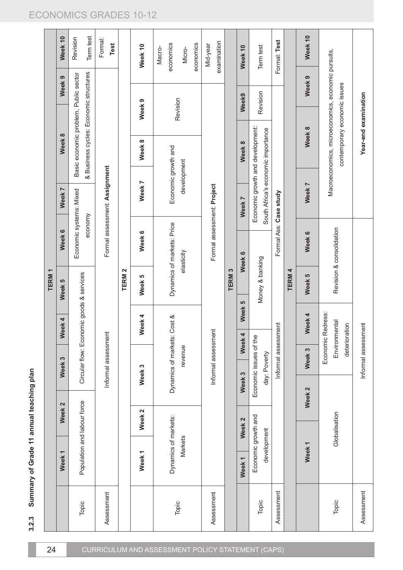| ueju puiupe<br>١    |
|---------------------|
| --<br>--<br>-<br>-  |
|                     |
| (<br>c<br>Ċ         |
|                     |
| man ni<br>ï         |
| $\mathbf$<br>¢<br>ć |

|            |                   |                                    |                   |                                        |                                                     |                                          | TERM <sub>1</sub> |                               |                                                                        |                                                    |                      |                                        |                    |
|------------|-------------------|------------------------------------|-------------------|----------------------------------------|-----------------------------------------------------|------------------------------------------|-------------------|-------------------------------|------------------------------------------------------------------------|----------------------------------------------------|----------------------|----------------------------------------|--------------------|
|            | Week <sub>1</sub> |                                    | Week <sub>2</sub> | Week <sub>3</sub>                      |                                                     | Week 4                                   | Week <sub>5</sub> | Week 6                        | Week 7                                                                 |                                                    | Week <sub>8</sub>    | Week <sub>9</sub>                      | Week <sub>10</sub> |
| Topic      |                   | Population and labour force        |                   |                                        |                                                     | Circular flow: Economic goods & services |                   | Economic systems: Mixed       |                                                                        |                                                    |                      | Basic economic problem, Public sector  | Revision           |
|            |                   |                                    |                   |                                        |                                                     |                                          |                   | economy                       |                                                                        |                                                    |                      | & Business cycles: Economic structures | Term test          |
| Assessment |                   |                                    |                   | Informal assessment                    |                                                     |                                          |                   | Formal assessment: Assignment |                                                                        |                                                    |                      |                                        | Formal:<br>Test    |
|            |                   |                                    |                   |                                        |                                                     |                                          | TERM <sub>2</sub> |                               |                                                                        |                                                    |                      |                                        |                    |
|            | Week <sub>1</sub> | Week <sub>2</sub>                  |                   | Week <sub>3</sub>                      |                                                     | Week 4                                   | Week <sub>5</sub> | Week 6                        | Week 7                                                                 | Week 8                                             |                      | Week <sub>9</sub>                      | Week <sub>10</sub> |
|            |                   |                                    |                   |                                        |                                                     |                                          |                   |                               |                                                                        |                                                    |                      |                                        | Macro-             |
|            |                   | Dynamics of markets:               |                   | Dynamics of markets:                   |                                                     | Cost &                                   |                   | Dynamics of markets: Price    |                                                                        | Economic growth and                                |                      |                                        | economics          |
| Topic      |                   | Markets                            |                   | revenue                                |                                                     |                                          |                   | elasticity                    |                                                                        | development                                        |                      | Revision                               | Micro-             |
|            |                   |                                    |                   |                                        |                                                     |                                          |                   |                               |                                                                        |                                                    |                      |                                        | economics          |
| Assessment |                   |                                    |                   | Informal assessment                    |                                                     |                                          |                   | Formal assessment: Project    |                                                                        |                                                    |                      |                                        | Mid-year           |
|            |                   |                                    |                   |                                        |                                                     |                                          |                   |                               |                                                                        |                                                    |                      |                                        | examination        |
|            |                   |                                    |                   |                                        |                                                     |                                          | TERM <sub>3</sub> |                               |                                                                        |                                                    |                      |                                        |                    |
|            | Week <sub>1</sub> | Week <sub>2</sub>                  |                   | Week <sub>3</sub>                      | Week <sub>4</sub>                                   | Week <sub>5</sub>                        |                   | Week <sub>6</sub>             | Week 7                                                                 | Week <sub>8</sub>                                  |                      | Week9                                  | Week <sub>10</sub> |
| Topic      |                   | Economic growth and<br>development |                   | Economic issues of the<br>day: Poverty |                                                     |                                          | Money & banking   |                               | Economic growth and development:<br>South Africa's economic importance |                                                    |                      | Revision                               | Term test          |
| Assessment |                   |                                    |                   |                                        | Informal assessment                                 |                                          |                   | Formal Ass: Case study        |                                                                        |                                                    |                      |                                        | Formal: Test       |
|            |                   |                                    |                   |                                        |                                                     |                                          | TERM 4            |                               |                                                                        |                                                    |                      |                                        |                    |
|            | Week <sub>1</sub> |                                    | Week <sub>2</sub> | Week <sub>3</sub>                      |                                                     | Week 4                                   | Week <sub>5</sub> | Week 6                        | Week 7                                                                 |                                                    | Week 8               | Week <sub>9</sub>                      | Week <sub>10</sub> |
| Topic      |                   | Globalisation                      |                   |                                        | Economic Redress:<br>Environmental<br>deterioration |                                          |                   | Revision & consolidation      |                                                                        | Macroeconomics, microeconomics, economic pursuits, |                      | contemporary economic issues           |                    |
| Assessment |                   |                                    |                   |                                        | Informal assessment                                 |                                          |                   |                               |                                                                        |                                                    | Year-end examination |                                        |                    |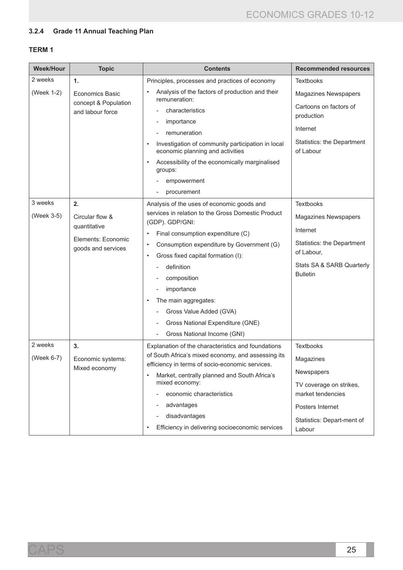# **3.2.4 Grade 11 Annual Teaching Plan**

### **TERM 1**

| <b>Week/Hour</b> | <b>Topic</b>                                                                                           | <b>Contents</b>                                                                                       | <b>Recommended resources</b>            |
|------------------|--------------------------------------------------------------------------------------------------------|-------------------------------------------------------------------------------------------------------|-----------------------------------------|
| 2 weeks          | 1.                                                                                                     | Principles, processes and practices of economy                                                        | <b>Textbooks</b>                        |
| (Week 1-2)       | <b>Economics Basic</b><br>remuneration:<br>concept & Population<br>characteristics<br>and labour force | Analysis of the factors of production and their                                                       | Magazines Newspapers                    |
|                  |                                                                                                        |                                                                                                       | Cartoons on factors of                  |
|                  |                                                                                                        | importance                                                                                            | production                              |
|                  |                                                                                                        | remuneration                                                                                          | Internet                                |
|                  |                                                                                                        | Investigation of community participation in local<br>economic planning and activities                 | Statistics: the Department<br>of Labour |
|                  |                                                                                                        | Accessibility of the economically marginalised<br>groups:                                             |                                         |
|                  |                                                                                                        | empowerment                                                                                           |                                         |
|                  |                                                                                                        | procurement                                                                                           |                                         |
| 3 weeks          | 2.                                                                                                     | Analysis of the uses of economic goods and                                                            | <b>Textbooks</b>                        |
| (Week 3-5)       | Circular flow &                                                                                        | services in relation to the Gross Domestic Product<br>(GDP). GDP/GNI:                                 | <b>Magazines Newspapers</b>             |
|                  | quantitative                                                                                           | Final consumption expenditure (C)                                                                     | Internet                                |
|                  | Elements: Economic<br>goods and services                                                               | Consumption expenditure by Government (G)                                                             | <b>Statistics: the Department</b>       |
|                  |                                                                                                        | Gross fixed capital formation (I):                                                                    | of Labour,                              |
|                  |                                                                                                        | definition                                                                                            | Stats SA & SARB Quarterly               |
|                  |                                                                                                        | composition                                                                                           | <b>Bulletin</b>                         |
|                  |                                                                                                        | importance                                                                                            |                                         |
|                  |                                                                                                        | The main aggregates:                                                                                  |                                         |
|                  |                                                                                                        | Gross Value Added (GVA)                                                                               |                                         |
|                  |                                                                                                        | Gross National Expenditure (GNE)                                                                      |                                         |
|                  |                                                                                                        | Gross National Income (GNI)                                                                           |                                         |
| 2 weeks          | 3.                                                                                                     | Explanation of the characteristics and foundations                                                    | <b>Textbooks</b>                        |
| (Week 6-7)       | Economic systems:<br>Mixed economy                                                                     | of South Africa's mixed economy, and assessing its<br>efficiency in terms of socio-economic services. | Magazines                               |
|                  |                                                                                                        | Market, centrally planned and South Africa's                                                          | Newspapers                              |
|                  |                                                                                                        | mixed economy:                                                                                        | TV coverage on strikes,                 |
|                  |                                                                                                        | economic characteristics                                                                              | market tendencies                       |
|                  |                                                                                                        | advantages                                                                                            | Posters Internet                        |
|                  |                                                                                                        | disadvantages<br>Efficiency in delivering socioeconomic services                                      | Statistics: Depart-ment of<br>Labour    |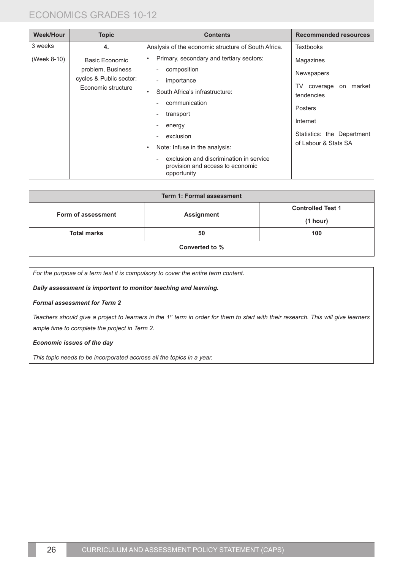| <b>Week/Hour</b> | <b>Topic</b>                                  | <b>Contents</b>                                                                            | <b>Recommended resources</b>            |
|------------------|-----------------------------------------------|--------------------------------------------------------------------------------------------|-----------------------------------------|
| 3 weeks          | 4.                                            | Analysis of the economic structure of South Africa.                                        | <b>Textbooks</b>                        |
| (Week 8-10)      | Basic Economic<br>problem, Business           | Primary, secondary and tertiary sectors:<br>$\bullet$<br>composition                       | Magazines                               |
|                  | cycles & Public sector:<br>Economic structure | importance                                                                                 | Newspapers                              |
|                  |                                               | South Africa's infrastructure:<br>٠                                                        | coverage on market<br>TV.<br>tendencies |
|                  |                                               | communication                                                                              | Posters                                 |
|                  |                                               | transport                                                                                  | Internet                                |
|                  |                                               | energy<br>exclusion                                                                        | Statistics: the Department              |
|                  |                                               | Note: Infuse in the analysis:<br>$\bullet$                                                 | of Labour & Stats SA                    |
|                  |                                               | exclusion and discrimination in service<br>provision and access to economic<br>opportunity |                                         |

|                    | Term 1: Formal assessment |                          |
|--------------------|---------------------------|--------------------------|
| Form of assessment |                           | <b>Controlled Test 1</b> |
|                    | <b>Assignment</b>         | (1 hour)                 |
| <b>Total marks</b> | 50                        | 100                      |
|                    | Converted to %            |                          |

*For the purpose of a term test it is compulsory to cover the entire term content.* 

*Daily assessment is important to monitor teaching and learning.* 

#### *Formal assessment for Term 2*

Teachers should give a project to learners in the 1<sup>st</sup> term in order for them to start with their research. This will give learners *ample time to complete the project in Term 2.* 

#### *Economic issues of the day*

*This topic needs to be incorporated accross all the topics in a year.*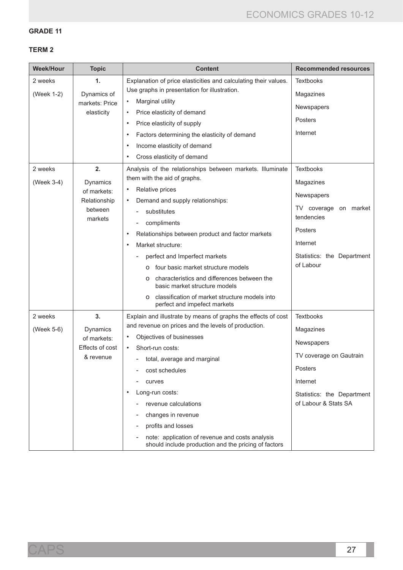# **GRADE 11**

# **TERM 2**

| <b>Week/Hour</b> | <b>Topic</b>                                                   | <b>Content</b>                                                                                          | <b>Recommended resources</b>            |
|------------------|----------------------------------------------------------------|---------------------------------------------------------------------------------------------------------|-----------------------------------------|
| 2 weeks          | 1.                                                             | Explanation of price elasticities and calculating their values.                                         | <b>Textbooks</b>                        |
| (Week 1-2)       | Dynamics of                                                    | Use graphs in presentation for illustration.                                                            | Magazines                               |
|                  | markets: Price                                                 | Marginal utility<br>$\bullet$                                                                           | Newspapers                              |
|                  | elasticity                                                     | Price elasticity of demand<br>$\bullet$                                                                 | Posters                                 |
|                  |                                                                | Price elasticity of supply<br>$\bullet$                                                                 |                                         |
|                  |                                                                | Factors determining the elasticity of demand<br>$\bullet$                                               | Internet                                |
|                  |                                                                | Income elasticity of demand<br>$\bullet$                                                                |                                         |
|                  |                                                                | Cross elasticity of demand<br>$\bullet$                                                                 |                                         |
| 2 weeks          | 2.                                                             | Analysis of the relationships between markets. Illuminate                                               | <b>Textbooks</b>                        |
| (Week 3-4)       | Dynamics<br>of markets:<br>Relationship<br>between             | them with the aid of graphs.                                                                            | Magazines                               |
|                  |                                                                | Relative prices                                                                                         | Newspapers                              |
|                  |                                                                | Demand and supply relationships:<br>$\bullet$                                                           | TV coverage on market                   |
|                  | markets                                                        | substitutes                                                                                             | tendencies                              |
|                  |                                                                | compliments                                                                                             | Posters                                 |
|                  |                                                                | Relationships between product and factor markets<br>$\bullet$                                           | Internet                                |
|                  |                                                                | Market structure:<br>$\bullet$                                                                          |                                         |
|                  |                                                                | perfect and Imperfect markets                                                                           | Statistics: the Department<br>of Labour |
|                  |                                                                | four basic market structure models<br>0                                                                 |                                         |
|                  |                                                                | characteristics and differences between the<br>O<br>basic market structure models                       |                                         |
|                  |                                                                | classification of market structure models into<br>O<br>perfect and impefect markets                     |                                         |
| 2 weeks          | 3.                                                             | Explain and illustrate by means of graphs the effects of cost                                           | <b>Textbooks</b>                        |
| (Week 5-6)       | <b>Dynamics</b><br>of markets:<br>Effects of cost<br>& revenue | and revenue on prices and the levels of production.                                                     | Magazines                               |
|                  |                                                                | Objectives of businesses<br>$\bullet$                                                                   | Newspapers                              |
|                  |                                                                | Short-run costs:<br>$\bullet$                                                                           | TV coverage on Gautrain                 |
|                  |                                                                | total, average and marginal<br>$\overline{\phantom{a}}$                                                 |                                         |
|                  |                                                                | cost schedules                                                                                          | Posters                                 |
|                  |                                                                | curves                                                                                                  | Internet                                |
|                  |                                                                | Long-run costs:<br>$\bullet$                                                                            | Statistics: the Department              |
|                  |                                                                | revenue calculations                                                                                    | of Labour & Stats SA                    |
|                  |                                                                | changes in revenue                                                                                      |                                         |
|                  |                                                                | profits and losses                                                                                      |                                         |
|                  |                                                                | note: application of revenue and costs analysis<br>should include production and the pricing of factors |                                         |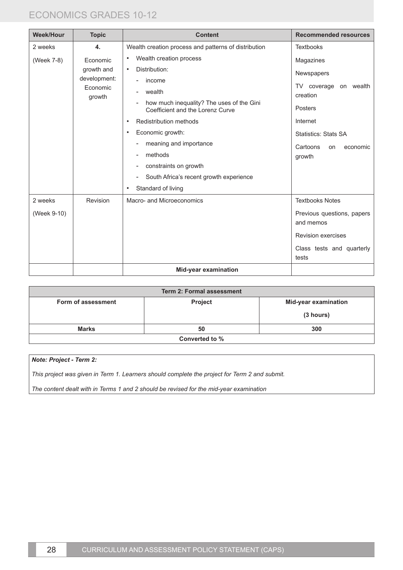| <b>Week/Hour</b>       | <b>Topic</b>                                                 | <b>Content</b>                                                                                                                                                                                                                                                                                                                                                                                                                                                                  | <b>Recommended resources</b>                                                                                                                                  |
|------------------------|--------------------------------------------------------------|---------------------------------------------------------------------------------------------------------------------------------------------------------------------------------------------------------------------------------------------------------------------------------------------------------------------------------------------------------------------------------------------------------------------------------------------------------------------------------|---------------------------------------------------------------------------------------------------------------------------------------------------------------|
| 2 weeks                | 4.                                                           | Wealth creation process and patterns of distribution                                                                                                                                                                                                                                                                                                                                                                                                                            | <b>Textbooks</b>                                                                                                                                              |
| (Week 7-8)             | Economic<br>growth and<br>development:<br>Economic<br>growth | Wealth creation process<br>$\bullet$<br>Distribution:<br>$\bullet$<br>income<br>$\overline{\phantom{0}}$<br>wealth<br>how much inequality? The uses of the Gini<br>Coefficient and the Lorenz Curve<br>Redistribution methods<br>$\bullet$<br>Economic growth:<br>$\bullet$<br>meaning and importance<br>methods<br>$\overline{\phantom{0}}$<br>constraints on growth<br>$\overline{\phantom{0}}$<br>South Africa's recent growth experience<br>Standard of living<br>$\bullet$ | Magazines<br>Newspapers<br>TV coverage<br>on wealth<br>creation<br>Posters<br>Internet<br><b>Statistics: Stats SA</b><br>Cartoons<br>economic<br>on<br>growth |
| 2 weeks<br>(Week 9-10) | Revision                                                     | Macro- and Microeconomics<br><b>Mid-year examination</b>                                                                                                                                                                                                                                                                                                                                                                                                                        | <b>Textbooks Notes</b><br>Previous questions, papers<br>and memos<br><b>Revision exercises</b><br>Class tests and quarterly<br>tests                          |

|                    | <b>Term 2: Formal assessment</b> |                             |
|--------------------|----------------------------------|-----------------------------|
| Form of assessment | <b>Project</b>                   | <b>Mid-year examination</b> |
|                    |                                  | (3 hours)                   |
| <b>Marks</b>       | 50                               | 300                         |
|                    | Converted to %                   |                             |

#### *Note: Project - Term 2:*

*This project was given in Term 1. Learners should complete the project for Term 2 and submit.*

*The content dealt with in Terms 1 and 2 should be revised for the mid-year examination*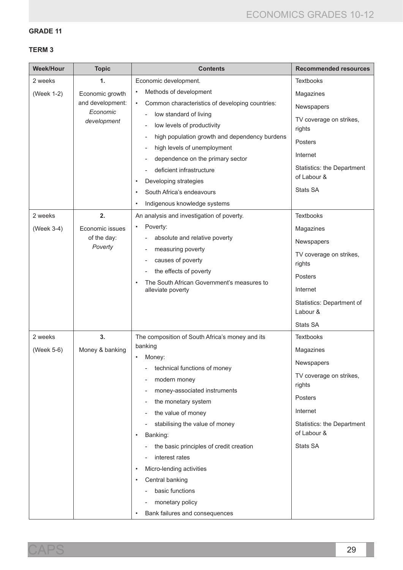# **GRADE 11**

# **TERM 3**

| <b>Week/Hour</b> | <b>Topic</b>            | <b>Contents</b>                                                           | <b>Recommended resources</b>              |
|------------------|-------------------------|---------------------------------------------------------------------------|-------------------------------------------|
| 2 weeks          | $\mathbf{1}$ .          | Economic development.                                                     | <b>Textbooks</b>                          |
| (Week 1-2)       | Economic growth         | Methods of development<br>$\bullet$                                       | Magazines                                 |
|                  | and development:        | Common characteristics of developing countries:<br>$\bullet$              | Newspapers                                |
|                  | Economic<br>development | low standard of living<br>$\overline{\phantom{0}}$                        | TV coverage on strikes,                   |
|                  |                         | low levels of productivity<br>$\overline{a}$                              | rights                                    |
|                  |                         | high population growth and dependency burdens<br>$\overline{\phantom{m}}$ | Posters                                   |
|                  |                         | high levels of unemployment<br>$\overline{a}$                             | Internet                                  |
|                  |                         | dependence on the primary sector                                          |                                           |
|                  |                         | deficient infrastructure                                                  | Statistics: the Department<br>of Labour & |
|                  |                         | Developing strategies<br>$\bullet$                                        | Stats SA                                  |
|                  |                         | South Africa's endeavours<br>$\bullet$                                    |                                           |
|                  |                         | Indigenous knowledge systems<br>$\bullet$                                 |                                           |
| 2 weeks          | 2.                      | An analysis and investigation of poverty.                                 | <b>Textbooks</b>                          |
| (Week 3-4)       | Economic issues         | Poverty:<br>$\bullet$                                                     | Magazines                                 |
|                  | of the day:<br>Poverty  | absolute and relative poverty                                             | Newspapers                                |
|                  |                         | measuring poverty<br>$\qquad \qquad \blacksquare$<br>causes of poverty    | TV coverage on strikes,                   |
|                  |                         | the effects of poverty                                                    | rights                                    |
|                  |                         | The South African Government's measures to<br>$\bullet$                   | Posters                                   |
|                  |                         | alleviate poverty                                                         | Internet                                  |
|                  |                         |                                                                           | Statistics: Department of                 |
|                  |                         |                                                                           | Labour &                                  |
|                  |                         |                                                                           | Stats SA                                  |
| 2 weeks          | 3.                      | The composition of South Africa's money and its                           | <b>Textbooks</b>                          |
| (Week 5-6)       | Money & banking         | banking                                                                   | Magazines                                 |
|                  |                         | Money:                                                                    | Newspapers                                |
|                  |                         | technical functions of money                                              | TV coverage on strikes,                   |
|                  |                         | modern money<br>$\overline{a}$                                            | rights                                    |
|                  |                         | money-associated instruments<br>$\overline{a}$<br>the monetary system     | Posters                                   |
|                  |                         | $\qquad \qquad \blacksquare$<br>the value of money                        | Internet                                  |
|                  |                         | stabilising the value of money                                            | <b>Statistics: the Department</b>         |
|                  |                         | Banking:<br>$\bullet$                                                     | of Labour &                               |
|                  |                         | the basic principles of credit creation                                   | Stats SA                                  |
|                  |                         | interest rates                                                            |                                           |
|                  |                         | Micro-lending activities<br>$\bullet$                                     |                                           |
|                  |                         | Central banking<br>$\bullet$                                              |                                           |
|                  |                         | basic functions                                                           |                                           |
|                  |                         | monetary policy                                                           |                                           |
|                  |                         | Bank failures and consequences<br>$\bullet$                               |                                           |

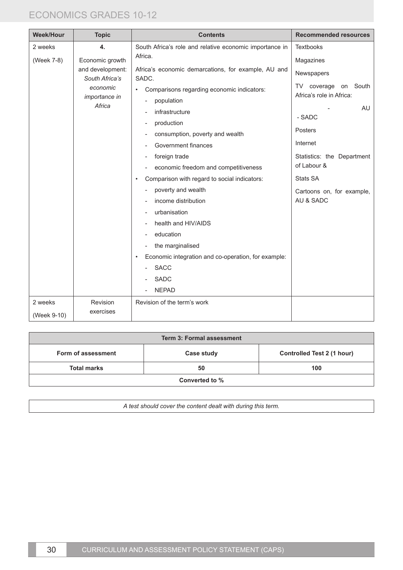| <b>Week/Hour</b>       | <b>Topic</b>                                                                                 | <b>Contents</b>                                                                                                                                                                                                     | <b>Recommended resources</b>                                                      |
|------------------------|----------------------------------------------------------------------------------------------|---------------------------------------------------------------------------------------------------------------------------------------------------------------------------------------------------------------------|-----------------------------------------------------------------------------------|
| 2 weeks                | 4.                                                                                           | South Africa's role and relative economic importance in                                                                                                                                                             | <b>Textbooks</b>                                                                  |
| (Week 7-8)             | Economic growth<br>and development:<br>South Africa's<br>economic<br>importance in<br>Africa | Africa.<br>Africa's economic demarcations, for example, AU and<br>SADC.<br>Comparisons regarding economic indicators:<br>$\bullet$<br>population<br>infrastructure                                                  | Magazines<br>Newspapers<br>TV coverage on South<br>Africa's role in Africa:<br>AU |
|                        |                                                                                              | production<br>$\overline{\phantom{a}}$<br>consumption, poverty and wealth<br>Government finances                                                                                                                    | - SADC<br>Posters<br>Internet                                                     |
|                        |                                                                                              | foreign trade<br>economic freedom and competitiveness<br>Comparison with regard to social indicators:<br>$\bullet$                                                                                                  | Statistics: the Department<br>of Labour &<br>Stats SA                             |
|                        |                                                                                              | poverty and wealth<br>income distribution<br>urbanisation<br>health and HIV/AIDS<br>education<br>the marginalised<br>Economic integration and co-operation, for example:<br>$\bullet$<br><b>SACC</b><br><b>SADC</b> | Cartoons on, for example,<br>AU & SADC                                            |
|                        |                                                                                              | <b>NEPAD</b>                                                                                                                                                                                                        |                                                                                   |
| 2 weeks<br>(Week 9-10) | Revision<br>exercises                                                                        | Revision of the term's work                                                                                                                                                                                         |                                                                                   |

|                    | Term 3: Formal assessment |                            |
|--------------------|---------------------------|----------------------------|
| Form of assessment | Case study                | Controlled Test 2 (1 hour) |
| <b>Total marks</b> | 50                        | 100                        |
|                    | Converted to %            |                            |

*A test should cover the content dealt with during this term.*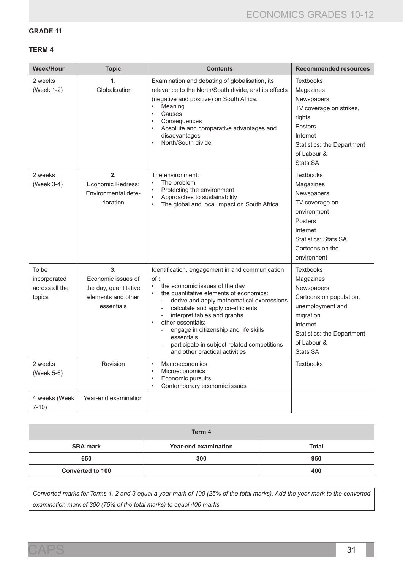### **GRADE 11**

### **TERM 4**

| <b>Week/Hour</b>                                  | <b>Topic</b>                                                                          | <b>Contents</b>                                                                                                                                                                                                                                                                                                                                                                                                                                        | <b>Recommended resources</b>                                                                                                                                                        |
|---------------------------------------------------|---------------------------------------------------------------------------------------|--------------------------------------------------------------------------------------------------------------------------------------------------------------------------------------------------------------------------------------------------------------------------------------------------------------------------------------------------------------------------------------------------------------------------------------------------------|-------------------------------------------------------------------------------------------------------------------------------------------------------------------------------------|
| 2 weeks<br>(Week 1-2)                             | 1.<br>Globalisation                                                                   | Examination and debating of globalisation, its<br>relevance to the North/South divide, and its effects<br>(negative and positive) on South Africa.<br>Meaning<br>$\bullet$<br>Causes<br>$\bullet$<br>Consequences<br>Absolute and comparative advantages and<br>disadvantages<br>North/South divide<br>$\bullet$                                                                                                                                       | <b>Textbooks</b><br>Magazines<br>Newspapers<br>TV coverage on strikes,<br>rights<br><b>Posters</b><br>Internet<br><b>Statistics: the Department</b><br>of Labour &<br>Stats SA      |
| 2 weeks<br>(Week 3-4)                             | 2.<br>Economic Redress:<br>Environmental dete-<br>rioration                           | The environment:<br>The problem<br>Protecting the environment<br>$\bullet$<br>Approaches to sustainability<br>$\bullet$<br>The global and local impact on South Africa<br>$\bullet$                                                                                                                                                                                                                                                                    | <b>Textbooks</b><br>Magazines<br>Newspapers<br>TV coverage on<br>environment<br>Posters<br>Internet<br><b>Statistics: Stats SA</b><br>Cartoons on the<br>environnent                |
| To be<br>incorporated<br>across all the<br>topics | 3.<br>Economic issues of<br>the day, quantitative<br>elements and other<br>essentials | Identification, engagement in and communication<br>of:<br>the economic issues of the day<br>the quantitative elements of economics:<br>$\bullet$<br>derive and apply mathematical expressions<br>calculate and apply co-efficients<br>interpret tables and graphs<br>$\equiv$<br>other essentials:<br>engage in citizenship and life skills<br>$\equiv$<br>essentials<br>participate in subject-related competitions<br>and other practical activities | <b>Textbooks</b><br>Magazines<br>Newspapers<br>Cartoons on population,<br>unemployment and<br>migration<br>Internet<br><b>Statistics: the Department</b><br>of Labour &<br>Stats SA |
| 2 weeks<br>(Week 5-6)                             | Revision                                                                              | Macroeconomics<br>$\bullet$<br>Microeconomics<br>$\bullet$<br>Economic pursuits<br>Contemporary economic issues<br>$\bullet$                                                                                                                                                                                                                                                                                                                           | <b>Textbooks</b>                                                                                                                                                                    |
| 4 weeks (Week<br>$7-10$                           | Year-end examination                                                                  |                                                                                                                                                                                                                                                                                                                                                                                                                                                        |                                                                                                                                                                                     |

|                         | Term 4               |              |
|-------------------------|----------------------|--------------|
| <b>SBA mark</b>         | Year-end examination | <b>Total</b> |
| 650                     | 300                  | 950          |
| <b>Converted to 100</b> |                      | 400          |

Converted marks for Terms 1, 2 and 3 equal a year mark of 100 (25% of the total marks). Add the year mark to the converted *examination mark of 300 (75% of the total marks) to equal 400 marks*

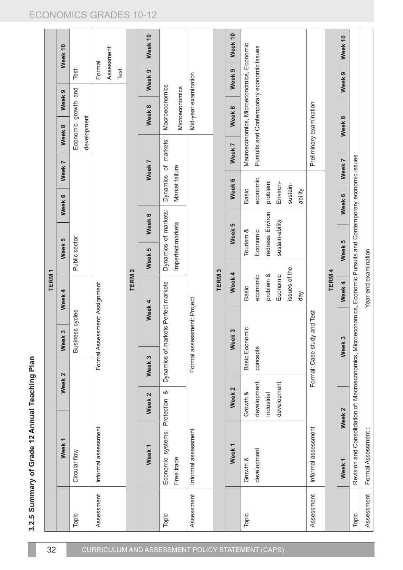| n<br>Dia<br>)<br>50000 |
|------------------------|
| י<br>גור               |
| しつこう<br>i              |
| <b>SAN OF BOOK</b>     |
| -<br>りつに               |

|            |                                                                                                                   |                            |                   |                                     | TERM <sub>1</sub>     |                   |                      |                      |                      |                                           |                                  |                   |                    |
|------------|-------------------------------------------------------------------------------------------------------------------|----------------------------|-------------------|-------------------------------------|-----------------------|-------------------|----------------------|----------------------|----------------------|-------------------------------------------|----------------------------------|-------------------|--------------------|
|            | Week <sub>1</sub>                                                                                                 |                            | Week <sub>2</sub> | Week <sub>3</sub>                   | Week <sub>4</sub>     | Week <sub>5</sub> |                      | Week 6               | Week 7               | Week 8                                    | Week <sub>9</sub>                |                   | Week <sub>10</sub> |
| Topic      | Circular flow                                                                                                     |                            |                   | cycles<br><b>Business</b>           |                       | Public sector     |                      |                      |                      | Economic growth and<br>development        |                                  | Test              |                    |
| Assessment | Informal assessment                                                                                               |                            |                   | Formal Assessment: Assignment       |                       |                   |                      |                      |                      |                                           |                                  | Formal            |                    |
|            |                                                                                                                   |                            |                   |                                     |                       |                   |                      |                      |                      |                                           |                                  | Assessment:       |                    |
|            |                                                                                                                   |                            |                   |                                     |                       |                   |                      |                      |                      |                                           |                                  | Test              |                    |
|            |                                                                                                                   |                            |                   |                                     | <b>TERM2</b>          |                   |                      |                      |                      |                                           |                                  |                   |                    |
|            | Week <sub>1</sub>                                                                                                 | Week <sub>2</sub>          | Week <sub>3</sub> |                                     | Week <sub>4</sub>     | Week <sub>5</sub> | Week 6               |                      | Week 7               |                                           | Week <sub>8</sub>                | Week <sub>9</sub> | Week <sub>10</sub> |
| Topic      | Economic systems:<br>Free trade                                                                                   | ∞<br>Protection            |                   | Dynamics of markets Perfect markets |                       | Imperfect markets | Dynamics of markets: | Market failure       | Dynamics of markets: |                                           | Macroeconomics<br>Microeconomics |                   |                    |
| Assessment | Informal assessment                                                                                               |                            |                   | Formal assessment: Project          |                       |                   |                      |                      |                      |                                           | Mid-year examination             |                   |                    |
|            |                                                                                                                   |                            |                   |                                     | TERM <sub>3</sub>     |                   |                      |                      |                      |                                           |                                  |                   |                    |
|            | Week <sub>1</sub>                                                                                                 | Week <sub>2</sub>          |                   | Week 3                              | Week 4                |                   | Week <sub>5</sub>    | Week 6               | Week 7               |                                           | Week 8                           | Week <sub>9</sub> | Week <sub>10</sub> |
| Topic      | Growth &                                                                                                          | Growth &                   |                   | Basic Economic                      | Basic                 | Tourism &         |                      | Basic                |                      | Macroeconomics, Microeconomics, Economic  |                                  |                   |                    |
|            | development                                                                                                       | development:<br>Industrial | concepts          |                                     | problem &<br>economic | Economic          | redress: Environ     | economic<br>problem: |                      | Pursuits and Contemporary economic issues |                                  |                   |                    |
|            |                                                                                                                   | development                |                   |                                     | Economic              |                   | sustain-ability      | Environ-             |                      |                                           |                                  |                   |                    |
|            |                                                                                                                   |                            |                   |                                     | issues of the<br>day  |                   |                      | sustain-<br>ability  |                      |                                           |                                  |                   |                    |
| Assessment | Informal assessment                                                                                               |                            |                   | Formal: Case study and Test         |                       |                   |                      |                      |                      | Preliminary examination                   |                                  |                   |                    |
|            |                                                                                                                   |                            |                   |                                     | <b>TERM4</b>          |                   |                      |                      |                      |                                           |                                  |                   |                    |
|            | Week <sub>1</sub>                                                                                                 | Week <sub>2</sub>          |                   | Week <sub>3</sub>                   | Week <sub>4</sub>     | Week <sub>5</sub> |                      | Week 6               | Week 7               | Week 8                                    |                                  | Week <sub>9</sub> | Week <sub>10</sub> |
| Topic      | Revision and Consolidation of: Macroeconomics, Microeconomics, Economic Pursuits and Contemporary economic issues |                            |                   |                                     |                       |                   |                      |                      |                      |                                           |                                  |                   |                    |
| Assessment | Formal Assessment:                                                                                                |                            |                   |                                     | Year-end examination  |                   |                      |                      |                      |                                           |                                  |                   |                    |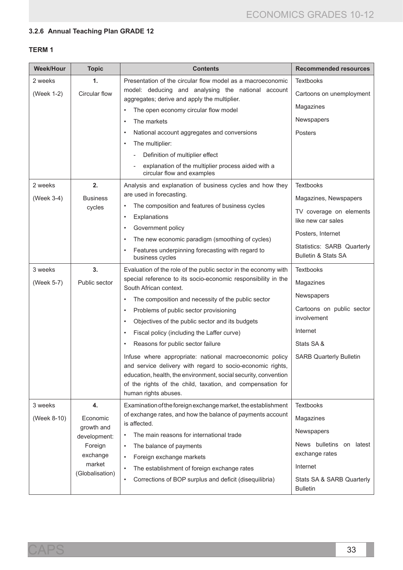# **3.2.6 Annual Teaching Plan GRADE 12**

# **TERM 1**

| <b>Week/Hour</b> | <b>Topic</b>               | <b>Contents</b>                                                                                                                                                                                                                                                                | <b>Recommended resources</b>                 |
|------------------|----------------------------|--------------------------------------------------------------------------------------------------------------------------------------------------------------------------------------------------------------------------------------------------------------------------------|----------------------------------------------|
| 2 weeks          | 1.                         | Presentation of the circular flow model as a macroeconomic                                                                                                                                                                                                                     | <b>Textbooks</b>                             |
| (Week 1-2)       | Circular flow              | model: deducing and analysing the national account                                                                                                                                                                                                                             | Cartoons on unemployment                     |
|                  |                            | aggregates; derive and apply the multiplier.<br>The open economy circular flow model                                                                                                                                                                                           | Magazines                                    |
|                  |                            | The markets                                                                                                                                                                                                                                                                    | Newspapers                                   |
|                  |                            | National account aggregates and conversions                                                                                                                                                                                                                                    | Posters                                      |
|                  |                            | The multiplier:                                                                                                                                                                                                                                                                |                                              |
|                  |                            | Definition of multiplier effect                                                                                                                                                                                                                                                |                                              |
|                  |                            | explanation of the multiplier process aided with a<br>circular flow and examples                                                                                                                                                                                               |                                              |
| 2 weeks          | 2.                         | Analysis and explanation of business cycles and how they                                                                                                                                                                                                                       | <b>Textbooks</b>                             |
| (Week 3-4)       | <b>Business</b>            | are used in forecasting.                                                                                                                                                                                                                                                       | Magazines, Newspapers                        |
|                  | cycles                     | The composition and features of business cycles                                                                                                                                                                                                                                | TV coverage on elements                      |
|                  |                            | Explanations<br>$\bullet$                                                                                                                                                                                                                                                      | like new car sales                           |
|                  |                            | Government policy                                                                                                                                                                                                                                                              | Posters, Internet                            |
|                  |                            | The new economic paradigm (smoothing of cycles)<br>Features underpinning forecasting with regard to                                                                                                                                                                            | Statistics: SARB Quarterly                   |
|                  |                            | business cycles                                                                                                                                                                                                                                                                | <b>Bulletin &amp; Stats SA</b>               |
| 3 weeks          | 3.                         | Evaluation of the role of the public sector in the economy with                                                                                                                                                                                                                | <b>Textbooks</b>                             |
| (Week 5-7)       | Public sector              | special reference to its socio-economic responsibility in the<br>South African context.                                                                                                                                                                                        | Magazines                                    |
|                  |                            | The composition and necessity of the public sector                                                                                                                                                                                                                             | Newspapers                                   |
|                  |                            | Problems of public sector provisioning                                                                                                                                                                                                                                         | Cartoons on public sector                    |
|                  |                            | Objectives of the public sector and its budgets                                                                                                                                                                                                                                | involvement                                  |
|                  |                            | Fiscal policy (including the Laffer curve)                                                                                                                                                                                                                                     | Internet                                     |
|                  |                            | Reasons for public sector failure                                                                                                                                                                                                                                              | Stats SA &                                   |
|                  |                            | Infuse where appropriate: national macroeconomic policy<br>and service delivery with regard to socio-economic rights,<br>education, health, the environment, social security, convention<br>of the rights of the child, taxation, and compensation for<br>human rights abuses. | <b>SARB Quarterly Bulletin</b>               |
| 3 weeks          | 4.                         | Examination of the foreign exchange market, the establishment                                                                                                                                                                                                                  | <b>Textbooks</b>                             |
| (Week 8-10)      | Economic                   | of exchange rates, and how the balance of payments account<br>is affected.                                                                                                                                                                                                     | Magazines                                    |
|                  | growth and<br>development: | The main reasons for international trade                                                                                                                                                                                                                                       | Newspapers                                   |
|                  | Foreign                    | The balance of payments                                                                                                                                                                                                                                                        | News bulletins on latest                     |
|                  | exchange                   | Foreign exchange markets<br>$\bullet$                                                                                                                                                                                                                                          | exchange rates                               |
|                  | market<br>(Globalisation)  | The establishment of foreign exchange rates                                                                                                                                                                                                                                    | Internet                                     |
|                  |                            | Corrections of BOP surplus and deficit (disequilibria)<br>$\bullet$                                                                                                                                                                                                            | Stats SA & SARB Quarterly<br><b>Bulletin</b> |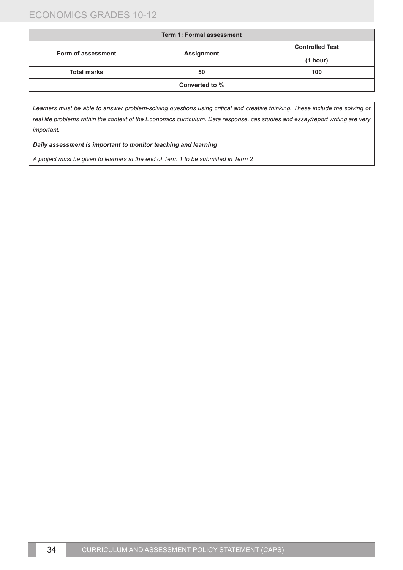|                    | <b>Term 1: Formal assessment</b> |                        |
|--------------------|----------------------------------|------------------------|
| Form of assessment |                                  | <b>Controlled Test</b> |
|                    | <b>Assignment</b>                | (1 hour)               |
| <b>Total marks</b> | 50                               | 100                    |
|                    | Converted to %                   |                        |

Learners must be able to answer problem-solving questions using critical and creative thinking. These include the solving of real life problems within the context of the Economics curriculum. Data response, cas studies and essay/report writing are very *important.*

#### *Daily assessment is important to monitor teaching and learning*

*A project must be given to learners at the end of Term 1 to be submitted in Term 2*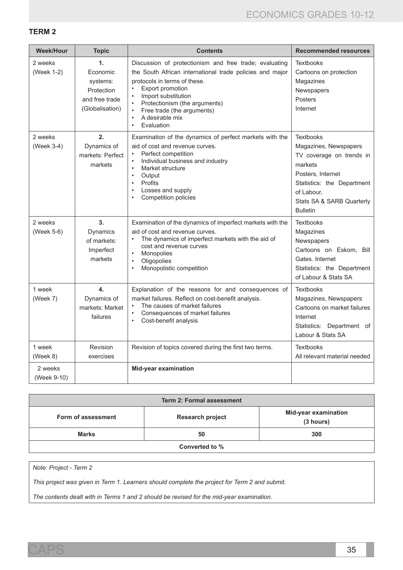# **TERM 2**

| <b>Week/Hour</b>       | <b>Topic</b>                                                                  | <b>Contents</b>                                                                                                                                                                                                                                                                                                                                                           | <b>Recommended resources</b>                                                                                                                                                                      |
|------------------------|-------------------------------------------------------------------------------|---------------------------------------------------------------------------------------------------------------------------------------------------------------------------------------------------------------------------------------------------------------------------------------------------------------------------------------------------------------------------|---------------------------------------------------------------------------------------------------------------------------------------------------------------------------------------------------|
| 2 weeks<br>(Week 1-2)  | 1.<br>Economic<br>systems:<br>Protection<br>and free trade<br>(Globalisation) | Discussion of protectionism and free trade; evaluating<br>the South African international trade policies and major<br>protocols in terms of these.<br>Export promotion<br>$\ddot{\phantom{0}}$<br>Import substitution<br>Protectionism (the arguments)<br>$\bullet$<br>$\bullet$<br>Free trade (the arguments)<br>A desirable mix<br>$\bullet$<br>Evaluation<br>$\bullet$ | <b>Textbooks</b><br>Cartoons on protection<br>Magazines<br>Newspapers<br><b>Posters</b><br>Internet                                                                                               |
| 2 weeks<br>(Week 3-4)  | 2.<br>Dynamics of<br>markets: Perfect<br>markets                              | Examination of the dynamics of perfect markets with the<br>aid of cost and revenue curves.<br>Perfect competition<br>$\bullet$<br>Individual business and industry<br>$\bullet$<br>$\bullet$<br>Market structure<br>Output<br>$\bullet$<br>Profits<br>$\bullet$<br>Losses and supply<br>$\bullet$<br>Competition policies<br>$\bullet$                                    | <b>Textbooks</b><br>Magazines, Newspapers<br>TV coverage on trends in<br>markets<br>Posters, Internet<br>Statistics: the Department<br>of Labour,<br>Stats SA & SARB Quarterly<br><b>Bulletin</b> |
| 2 weeks<br>(Week 5-6)  | 3.<br>Dynamics<br>of markets:<br>Imperfect<br>markets                         | Examination of the dynamics of imperfect markets with the<br>aid of cost and revenue curves.<br>The dynamics of imperfect markets with the aid of<br>$\bullet$<br>cost and revenue curves<br>Monopolies<br>$\bullet$<br>Oligopolies<br>$\bullet$<br>Monopolistic competition<br>$\bullet$                                                                                 | <b>Textbooks</b><br>Magazines<br>Newspapers<br>Cartoons on Eskom, Bill<br>Gates. Internet<br>Statistics: the Department<br>of Labour & Stats SA                                                   |
| 1 week<br>(Week 7)     | 4.<br>Dynamics of<br>markets: Market<br>failures                              | Explanation of the reasons for and consequences of<br>market failures. Reflect on cost-benefit analysis.<br>The causes of market failures<br>$\bullet$<br>Consequences of market failures<br>$\bullet$<br>$\bullet$<br>Cost-benefit analysis                                                                                                                              | <b>Textbooks</b><br>Magazines, Newspapers<br>Cartoons on market failures<br>Internet<br>Statistics: Department of<br>Labour & Stats SA                                                            |
| 1 week<br>(Week 8)     | Revision<br>exercises                                                         | Revision of topics covered during the first two terms.                                                                                                                                                                                                                                                                                                                    | <b>Textbooks</b><br>All relevant material needed                                                                                                                                                  |
| 2 weeks<br>(Week 9-10) |                                                                               | Mid-year examination                                                                                                                                                                                                                                                                                                                                                      |                                                                                                                                                                                                   |

|                    | <b>Term 2: Formal assessment</b> |                                          |
|--------------------|----------------------------------|------------------------------------------|
| Form of assessment | <b>Research project</b>          | <b>Mid-year examination</b><br>(3 hours) |
| <b>Marks</b>       | 50                               | 300                                      |
|                    | Converted to %                   |                                          |

*Note: Project - Term 2*

*This project was given in Term 1. Learners should complete the project for Term 2 and submit.*

*The contents dealt with in Terms 1 and 2 should be revised for the mid-year examination.*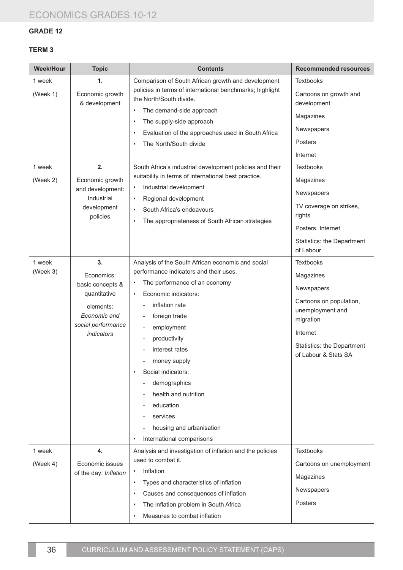# **GRADE 12**

# **TERM 3**

| <b>Week/Hour</b>                         | <b>Topic</b>                                                                                                                           | <b>Contents</b>                                                                                                                                                                                                                                                                                                                                                                                                                                                                                                                                                                                                           | <b>Recommended resources</b>                                                                                                                                                                                                                              |
|------------------------------------------|----------------------------------------------------------------------------------------------------------------------------------------|---------------------------------------------------------------------------------------------------------------------------------------------------------------------------------------------------------------------------------------------------------------------------------------------------------------------------------------------------------------------------------------------------------------------------------------------------------------------------------------------------------------------------------------------------------------------------------------------------------------------------|-----------------------------------------------------------------------------------------------------------------------------------------------------------------------------------------------------------------------------------------------------------|
| 1 week<br>(Week 1)<br>1 week<br>(Week 2) | $\mathbf{1}$<br>Economic growth<br>& development<br>2.<br>Economic growth<br>and development:<br>Industrial<br>development<br>policies | Comparison of South African growth and development<br>policies in terms of international benchmarks; highlight<br>the North/South divide.<br>The demand-side approach<br>$\bullet$<br>The supply-side approach<br>$\bullet$<br>Evaluation of the approaches used in South Africa<br>٠<br>The North/South divide<br>$\bullet$<br>South Africa's industrial development policies and their<br>suitability in terms of international best practice.<br>Industrial development<br>$\bullet$<br>Regional development<br>$\bullet$<br>South Africa's endeavours<br>$\bullet$<br>The appropriateness of South African strategies | <b>Textbooks</b><br>Cartoons on growth and<br>development<br>Magazines<br>Newspapers<br>Posters<br>Internet<br><b>Textbooks</b><br>Magazines<br>Newspapers<br>TV coverage on strikes,<br>rights<br>Posters, Internet<br><b>Statistics: the Department</b> |
| 1 week<br>(Week 3)                       | 3.<br>Economics:<br>basic concepts &<br>quantitative<br>elements:<br>Economic and<br>social performance<br><i>indicators</i>           | Analysis of the South African economic and social<br>performance indicators and their uses.<br>The performance of an economy<br>٠<br>Economic indicators:<br>inflation rate<br>foreign trade<br>employment<br>productivity<br>interest rates<br>money supply<br>Social indicators:<br>demographics<br>health and nutrition<br>education<br>services<br>housing and urbanisation<br>International comparisons<br>٠                                                                                                                                                                                                         | of Labour<br><b>Textbooks</b><br>Magazines<br>Newspapers<br>Cartoons on population,<br>unemployment and<br>migration<br>Internet<br>Statistics: the Department<br>of Labour & Stats SA                                                                    |
| 1 week<br>(Week 4)                       | 4.<br>Economic issues<br>of the day: Inflation                                                                                         | Analysis and investigation of inflation and the policies<br>used to combat it.<br>Inflation<br>٠<br>Types and characteristics of inflation<br>$\bullet$<br>Causes and consequences of inflation<br>٠<br>The inflation problem in South Africa<br>٠<br>Measures to combat inflation                                                                                                                                                                                                                                                                                                                                        | <b>Textbooks</b><br>Cartoons on unemployment<br>Magazines<br>Newspapers<br>Posters                                                                                                                                                                        |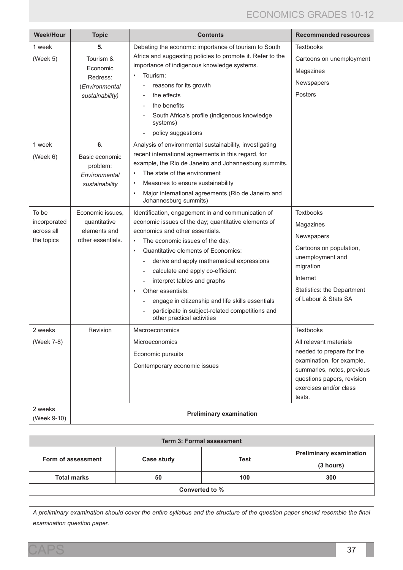| <b>Week/Hour</b>                                  | <b>Topic</b>                                                                 | <b>Contents</b>                                                                                                                                                                                                                                                                                                                                                                                                                                                                                                                    | <b>Recommended resources</b>                                                                                                                                                                  |
|---------------------------------------------------|------------------------------------------------------------------------------|------------------------------------------------------------------------------------------------------------------------------------------------------------------------------------------------------------------------------------------------------------------------------------------------------------------------------------------------------------------------------------------------------------------------------------------------------------------------------------------------------------------------------------|-----------------------------------------------------------------------------------------------------------------------------------------------------------------------------------------------|
| 1 week<br>(Week 5)                                | 5.<br>Tourism &<br>Economic<br>Redress:<br>(Environmental<br>sustainability) | Debating the economic importance of tourism to South<br>Africa and suggesting policies to promote it. Refer to the<br>importance of indigenous knowledge systems.<br>Tourism:<br>reasons for its growth<br>the effects<br>the benefits<br>South Africa's profile (indigenous knowledge<br>systems)<br>policy suggestions                                                                                                                                                                                                           | <b>Textbooks</b><br>Cartoons on unemployment<br>Magazines<br>Newspapers<br>Posters                                                                                                            |
| 1 week<br>(Week 6)                                | 6.<br>Basic economic<br>problem:<br>Environmental<br>sustainability          | Analysis of environmental sustainability, investigating<br>recent international agreements in this regard, for<br>example, the Rio de Janeiro and Johannesburg summits.<br>The state of the environment<br>Measures to ensure sustainability<br>Major international agreements (Rio de Janeiro and<br>Johannesburg summits)                                                                                                                                                                                                        |                                                                                                                                                                                               |
| To be<br>incorporated<br>across all<br>the topics | Economic issues,<br>quantitative<br>elements and<br>other essentials.        | Identification, engagement in and communication of<br>economic issues of the day; quantitative elements of<br>economics and other essentials.<br>The economic issues of the day.<br>$\bullet$<br><b>Quantitative elements of Economics:</b><br>$\bullet$<br>derive and apply mathematical expressions<br>calculate and apply co-efficient<br>interpret tables and graphs<br>Other essentials:<br>engage in citizenship and life skills essentials<br>participate in subject-related competitions and<br>other practical activities | <b>Textbooks</b><br>Magazines<br>Newspapers<br>Cartoons on population,<br>unemployment and<br>migration<br>Internet<br>Statistics: the Department<br>of Labour & Stats SA                     |
| 2 weeks<br>(Week 7-8)                             | Revision                                                                     | Macroeconomics<br>Microeconomics<br>Economic pursuits<br>Contemporary economic issues                                                                                                                                                                                                                                                                                                                                                                                                                                              | Textbooks<br>All relevant materials<br>needed to prepare for the<br>examination, for example,<br>summaries, notes, previous<br>questions papers, revision<br>exercises and/or class<br>tests. |
| 2 weeks<br>(Week 9-10)                            |                                                                              | <b>Preliminary examination</b>                                                                                                                                                                                                                                                                                                                                                                                                                                                                                                     |                                                                                                                                                                                               |

|                    | <b>Term 3: Formal assessment</b> |      |                                             |
|--------------------|----------------------------------|------|---------------------------------------------|
| Form of assessment | Case study                       | Test | <b>Preliminary examination</b><br>(3 hours) |
| <b>Total marks</b> | 50                               | 100  | 300                                         |
|                    | Converted to %                   |      |                                             |

A preliminary examination should cover the entire syllabus and the structure of the question paper should resemble the final *examination question paper.*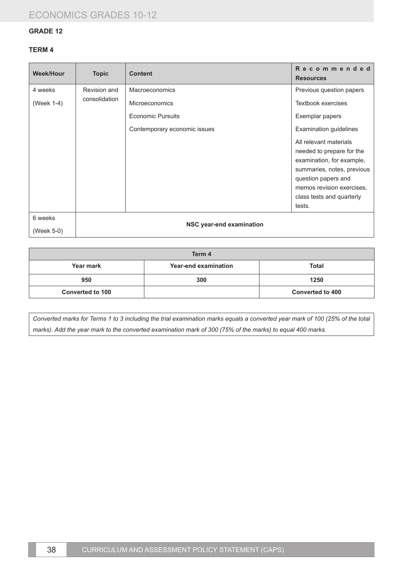# **GRADE 12**

### **TERM 4**

| <b>Week/Hour</b>      | <b>Topic</b>  | <b>Content</b>               | Recommended<br><b>Resources</b>                                                                                                                                                                           |
|-----------------------|---------------|------------------------------|-----------------------------------------------------------------------------------------------------------------------------------------------------------------------------------------------------------|
| 4 weeks               | Revision and  | Macroeconomics               | Previous question papers                                                                                                                                                                                  |
| (Week 1-4)            | consolidation | <b>Microeconomics</b>        | <b>Textbook exercises</b>                                                                                                                                                                                 |
|                       |               | <b>Economic Pursuits</b>     | Exemplar papers                                                                                                                                                                                           |
|                       |               | Contemporary economic issues | Examination guidelines                                                                                                                                                                                    |
|                       |               |                              | All relevant materials<br>needed to prepare for the<br>examination, for example,<br>summaries, notes, previous<br>question papers and<br>memos revision exercises.<br>class tests and quarterly<br>tests. |
| 6 weeks<br>(Week 5-0) |               | NSC year-end examination     |                                                                                                                                                                                                           |

|                         | Term 4                      |                         |
|-------------------------|-----------------------------|-------------------------|
| <b>Year mark</b>        | <b>Year-end examination</b> | <b>Total</b>            |
| 950                     | 300                         | 1250                    |
| <b>Converted to 100</b> |                             | <b>Converted to 400</b> |

Converted marks for Terms 1 to 3 including the trial examination marks equals a converted year mark of 100 (25% of the total marks). Add the year mark to the converted examination mark of 300 (75% of the marks) to equal 400 marks.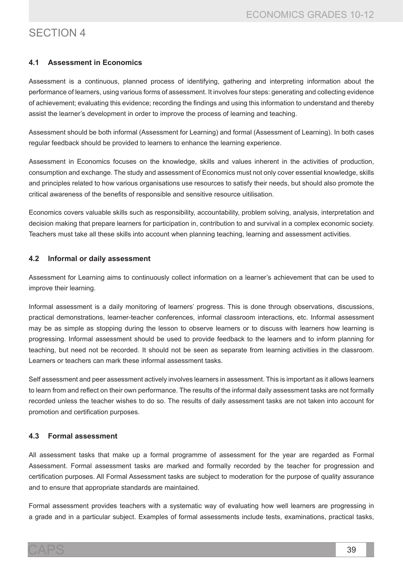# SECTION 4

### **4.1 Assessment in Economics**

Assessment is a continuous, planned process of identifying, gathering and interpreting information about the performance of learners, using various forms of assessment. It involves four steps: generating and collecting evidence of achievement; evaluating this evidence; recording the findings and using this information to understand and thereby assist the learner's development in order to improve the process of learning and teaching.

Assessment should be both informal (Assessment for Learning) and formal (Assessment of Learning). In both cases regular feedback should be provided to learners to enhance the learning experience.

Assessment in Economics focuses on the knowledge, skills and values inherent in the activities of production, consumption and exchange. The study and assessment of Economics must not only cover essential knowledge, skills and principles related to how various organisations use resources to satisfy their needs, but should also promote the critical awareness of the benefits of responsible and sensitive resource uitilisation.

Economics covers valuable skills such as responsibility, accountability, problem solving, analysis, interpretation and decision making that prepare learners for participation in, contribution to and survival in a complex economic society. Teachers must take all these skills into account when planning teaching, learning and assessment activities.

### **4.2 Informal or daily assessment**

Assessment for Learning aims to continuously collect information on a learner's achievement that can be used to improve their learning.

Informal assessment is a daily monitoring of learners' progress. This is done through observations, discussions, practical demonstrations, learner-teacher conferences, informal classroom interactions, etc. Informal assessment may be as simple as stopping during the lesson to observe learners or to discuss with learners how learning is progressing. Informal assessment should be used to provide feedback to the learners and to inform planning for teaching, but need not be recorded. It should not be seen as separate from learning activities in the classroom. Learners or teachers can mark these informal assessment tasks.

Self assessment and peer assessment actively involves learners in assessment. This is important as it allows learners to learn from and reflect on their own performance. The results of the informal daily assessment tasks are not formally recorded unless the teacher wishes to do so. The results of daily assessment tasks are not taken into account for promotion and certification purposes.

### **4.3 Formal assessment**

All assessment tasks that make up a formal programme of assessment for the year are regarded as Formal Assessment. Formal assessment tasks are marked and formally recorded by the teacher for progression and certification purposes. All Formal Assessment tasks are subject to moderation for the purpose of quality assurance and to ensure that appropriate standards are maintained.

Formal assessment provides teachers with a systematic way of evaluating how well learners are progressing in a grade and in a particular subject. Examples of formal assessments include tests, examinations, practical tasks,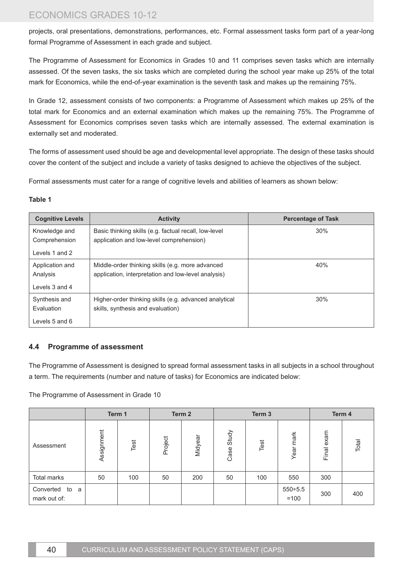projects, oral presentations, demonstrations, performances, etc. Formal assessment tasks form part of a year-long formal Programme of Assessment in each grade and subject.

The Programme of Assessment for Economics in Grades 10 and 11 comprises seven tasks which are internally assessed. Of the seven tasks, the six tasks which are completed during the school year make up 25% of the total mark for Economics, while the end-of-year examination is the seventh task and makes up the remaining 75%.

In Grade 12, assessment consists of two components: a Programme of Assessment which makes up 25% of the total mark for Economics and an external examination which makes up the remaining 75%. The Programme of Assessment for Economics comprises seven tasks which are internally assessed. The external examination is externally set and moderated.

The forms of assessment used should be age and developmental level appropriate. The design of these tasks should cover the content of the subject and include a variety of tasks designed to achieve the objectives of the subject.

Formal assessments must cater for a range of cognitive levels and abilities of learners as shown below:

#### **Table 1**

| <b>Cognitive Levels</b> | <b>Activity</b>                                        | <b>Percentage of Task</b> |
|-------------------------|--------------------------------------------------------|---------------------------|
| Knowledge and           | Basic thinking skills (e.g. factual recall, low-level  | 30%                       |
| Comprehension           | application and low-level comprehension)               |                           |
| Levels 1 and 2          |                                                        |                           |
| Application and         | Middle-order thinking skills (e.g. more advanced       | 40%                       |
| Analysis                | application, interpretation and low-level analysis)    |                           |
| Levels 3 and 4          |                                                        |                           |
| Synthesis and           | Higher-order thinking skills (e.g. advanced analytical | 30%                       |
| Evaluation              | skills, synthesis and evaluation)                      |                           |
| Levels 5 and 6          |                                                        |                           |

### **4.4 Programme of assessment**

The Programme of Assessment is designed to spread formal assessment tasks in all subjects in a school throughout a term. The requirements (number and nature of tasks) for Economics are indicated below:

The Programme of Assessment in Grade 10

|                                   |            | Term 1 | Term 2  |         |               | Term 3 |                       |               | Term 4 |  |
|-----------------------------------|------------|--------|---------|---------|---------------|--------|-----------------------|---------------|--------|--|
| Assessment                        | Assignment | Test   | Project | Midyear | Study<br>Case | Test   | mark<br>Year          | exam<br>Final | Total  |  |
| Total marks                       | 50         | 100    | 50      | 200     | 50            | 100    | 550                   | 300           |        |  |
| Converted<br>to a<br>mark out of: |            |        |         |         |               |        | $550 + 5.5$<br>$=100$ | 300           | 400    |  |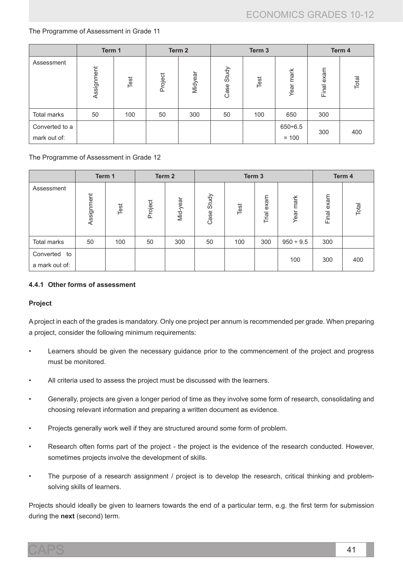#### The Programme of Assessment in Grade 11

|                                | Term 1     |      |         | Term 2  | Term 3        |      |                        |            | Term 4 |
|--------------------------------|------------|------|---------|---------|---------------|------|------------------------|------------|--------|
| Assessment                     | Assignment | Test | Project | Midyear | Study<br>Case | Test | mark<br>Year           | Final exam | Total  |
| Total marks                    | 50         | 100  | 50      | 300     | 50            | 100  | 650                    | 300        |        |
| Converted to a<br>mark out of: |            |      |         |         |               |      | $650 + 6.5$<br>$= 100$ | 300        | 400    |

### The Programme of Assessment in Grade 12

|                                |            | Term 1 |         | Term 2   | Term 3        |      |               | Term 4         |               |       |
|--------------------------------|------------|--------|---------|----------|---------------|------|---------------|----------------|---------------|-------|
| Assessment                     | Assignment | Test   | Project | Mid-year | Study<br>Case | Test | exam<br>Trial | mark<br>Year   | exam<br>Final | Total |
| Total marks                    | 50         | 100    | 50      | 300      | 50            | 100  | 300           | $950 \div 9.5$ | 300           |       |
| Converted to<br>a mark out of: |            |        |         |          |               |      |               | 100            | 300           | 400   |

### **4.4.1 Other forms of assessment**

#### **Project**

A project in each of the grades is mandatory. Only one project per annum is recommended per grade. When preparing a project, consider the following minimum requirements:

- Learners should be given the necessary guidance prior to the commencement of the project and progress must be monitored.
- All criteria used to assess the project must be discussed with the learners.
- Generally, projects are given a longer period of time as they involve some form of research, consolidating and choosing relevant information and preparing a written document as evidence.
- Projects generally work well if they are structured around some form of problem.
- Research often forms part of the project the project is the evidence of the research conducted. However, sometimes projects involve the development of skills.
- The purpose of a research assignment / project is to develop the research, critical thinking and problemsolving skills of learners.

Projects should ideally be given to learners towards the end of a particular term, e.g. the first term for submission during the **next** (second) term.

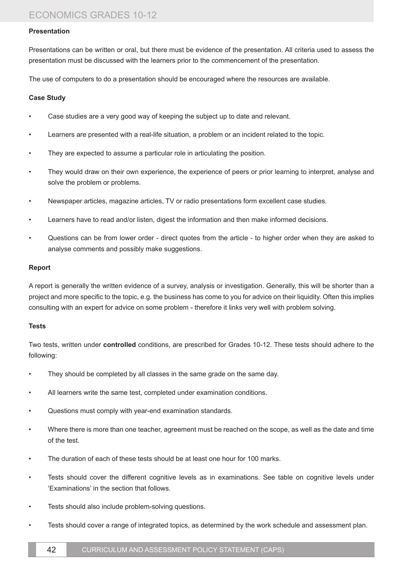# **Presentation**

Presentations can be written or oral, but there must be evidence of the presentation. All criteria used to assess the presentation must be discussed with the learners prior to the commencement of the presentation.

The use of computers to do a presentation should be encouraged where the resources are available.

#### **Case Study**

- Case studies are a very good way of keeping the subject up to date and relevant.
- Learners are presented with a real-life situation, a problem or an incident related to the topic.
- They are expected to assume a particular role in articulating the position.
- They would draw on their own experience, the experience of peers or prior learning to interpret, analyse and solve the problem or problems.
- Newspaper articles, magazine articles, TV or radio presentations form excellent case studies.
- Learners have to read and/or listen, digest the information and then make informed decisions.
- Questions can be from lower order direct quotes from the article to higher order when they are asked to analyse comments and possibly make suggestions.

#### **Report**

A report is generally the written evidence of a survey, analysis or investigation. Generally, this will be shorter than a project and more specific to the topic, e.g. the business has come to you for advice on their liquidity. Often this implies consulting with an expert for advice on some problem - therefore it links very well with problem solving.

#### **Tests**

Two tests, written under **controlled** conditions, are prescribed for Grades 10-12. These tests should adhere to the following:

- They should be completed by all classes in the same grade on the same day.
- All learners write the same test, completed under examination conditions.
- Questions must comply with year-end examination standards.
- Where there is more than one teacher, agreement must be reached on the scope, as well as the date and time of the test.
- The duration of each of these tests should be at least one hour for 100 marks.
- Tests should cover the different cognitive levels as in examinations. See table on cognitive levels under 'Examinations' in the section that follows.
- Tests should also include problem-solving questions.
- Tests should cover a range of integrated topics, as determined by the work schedule and assessment plan.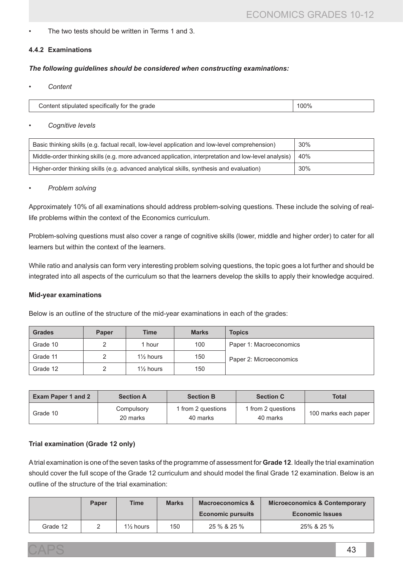The two tests should be written in Terms 1 and 3.

### **4.4.2 Examinations**

#### *The following guidelines should be considered when constructing examinations:*

*• Content*

| 00%<br>Content stipulated specifically for the grade |  |
|------------------------------------------------------|--|
|------------------------------------------------------|--|

*• Cognitive levels*

| Basic thinking skills (e.g. factual recall, low-level application and low-level comprehension)       | $30\%$ |
|------------------------------------------------------------------------------------------------------|--------|
| Middle-order thinking skills (e.g. more advanced application, interpretation and low-level analysis) | 40%    |
| Higher-order thinking skills (e.g. advanced analytical skills, synthesis and evaluation)             | 30%    |

#### **Problem solving**

Approximately 10% of all examinations should address problem-solving questions. These include the solving of reallife problems within the context of the Economics curriculum.

Problem-solving questions must also cover a range of cognitive skills (lower, middle and higher order) to cater for all learners but within the context of the learners.

While ratio and analysis can form very interesting problem solving questions, the topic goes a lot further and should be integrated into all aspects of the curriculum so that the learners develop the skills to apply their knowledge acquired.

#### **Mid-year examinations**

Below is an outline of the structure of the mid-year examinations in each of the grades:

| <b>Grades</b> | Paper | Time                 | <b>Marks</b> | <b>Topics</b>           |
|---------------|-------|----------------------|--------------|-------------------------|
| Grade 10      |       | 1 hour               | 100          | Paper 1: Macroeconomics |
| Grade 11      |       | $1\frac{1}{2}$ hours | 150          | Paper 2: Microeconomics |
| Grade 12      |       | $1\frac{1}{2}$ hours | 150          |                         |

| <b>Exam Paper 1 and 2</b> | <b>Section A</b>       | <b>Section B</b>               | <b>Section C</b>               | <b>Total</b>         |
|---------------------------|------------------------|--------------------------------|--------------------------------|----------------------|
| Grade 10                  | Compulsory<br>20 marks | 1 from 2 questions<br>40 marks | 1 from 2 questions<br>40 marks | 100 marks each paper |

### **Trial examination (Grade 12 only)**

A trial examination is one of the seven tasks of the programme of assessment for **Grade 12**. Ideally the trial examination should cover the full scope of the Grade 12 curriculum and should model the final Grade 12 examination. Below is an outline of the structure of the trial examination:

|          | <b>Paper</b> | <b>Time</b>          | <b>Marks</b> | <b>Macroeconomics &amp;</b><br><b>Economic pursuits</b> | <b>Microeconomics &amp; Contemporary</b><br><b>Economic Issues</b> |
|----------|--------------|----------------------|--------------|---------------------------------------------------------|--------------------------------------------------------------------|
| Grade 12 |              | $1\frac{1}{2}$ hours | 150          | 25 % & 25 %                                             | 25% & 25 %                                                         |

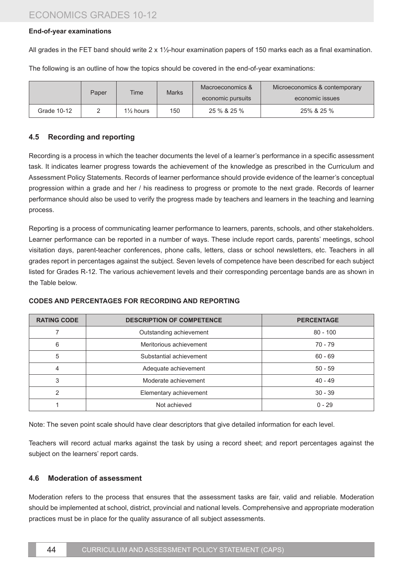# **End-of-year examinations**

All grades in the FET band should write 2 x 1½-hour examination papers of 150 marks each as a final examination.

The following is an outline of how the topics should be covered in the end-of-year examinations:

|             | Paper | <b>Time</b>          | <b>Marks</b> | Macroeconomics &  | Microeconomics & contemporary |
|-------------|-------|----------------------|--------------|-------------------|-------------------------------|
|             |       |                      |              | economic pursuits | economic issues               |
| Grade 10-12 |       | $1\frac{1}{2}$ hours | 150          | 25 % & 25 %       | 25% & 25 %                    |

# **4.5 Recording and reporting**

Recording is a process in which the teacher documents the level of a learner's performance in a specific assessment task. It indicates learner progress towards the achievement of the knowledge as prescribed in the Curriculum and Assessment Policy Statements. Records of learner performance should provide evidence of the learner's conceptual progression within a grade and her / his readiness to progress or promote to the next grade. Records of learner performance should also be used to verify the progress made by teachers and learners in the teaching and learning process.

Reporting is a process of communicating learner performance to learners, parents, schools, and other stakeholders. Learner performance can be reported in a number of ways. These include report cards, parents' meetings, school visitation days, parent-teacher conferences, phone calls, letters, class or school newsletters, etc. Teachers in all grades report in percentages against the subject. Seven levels of competence have been described for each subject listed for Grades R-12. The various achievement levels and their corresponding percentage bands are as shown in the Table below.

| <b>RATING CODE</b> | <b>DESCRIPTION OF COMPETENCE</b> | <b>PERCENTAGE</b> |
|--------------------|----------------------------------|-------------------|
|                    | Outstanding achievement          | $80 - 100$        |
| 6                  | Meritorious achievement          | $70 - 79$         |
| 5                  | Substantial achievement          | $60 - 69$         |
| 4                  | Adequate achievement             | $50 - 59$         |
| 3                  | Moderate achievement             | $40 - 49$         |
| 2                  | Elementary achievement           | $30 - 39$         |
|                    | Not achieved                     | $0 - 29$          |

#### **CODES AND PERCENTAGES FOR RECORDING AND REPORTING**

Note: The seven point scale should have clear descriptors that give detailed information for each level.

Teachers will record actual marks against the task by using a record sheet; and report percentages against the subject on the learners' report cards.

# **4.6 Moderation of assessment**

Moderation refers to the process that ensures that the assessment tasks are fair, valid and reliable. Moderation should be implemented at school, district, provincial and national levels. Comprehensive and appropriate moderation practices must be in place for the quality assurance of all subject assessments.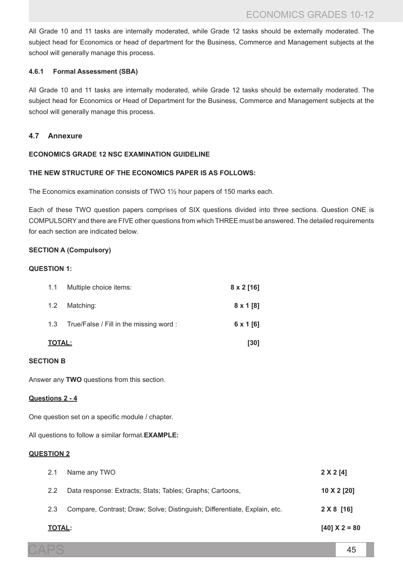All Grade 10 and 11 tasks are internally moderated, while Grade 12 tasks should be externally moderated. The subject head for Economics or head of department for the Business, Commerce and Management subjects at the school will generally manage this process.

### **4.6.1 Formal Assessment (SBA)**

All Grade 10 and 11 tasks are internally moderated, while Grade 12 tasks should be externally moderated. The subject head for Economics or Head of Department for the Business, Commerce and Management subjects at the school will generally manage this process.

### **4.7 Annexure**

#### **ECONOMICS GRADE 12 NSC EXAMINATION GUIDELINE**

#### **THE NEW STRUCTURE OF THE ECONOMICS PAPER IS AS FOLLOWS:**

The Economics examination consists of TWO 1½ hour papers of 150 marks each.

Each of these TWO question papers comprises of SIX questions divided into three sections. Question ONE is COMPULSORY and there are FIVE other questions from which THREE must be answered. The detailed requirements for each section are indicated below.

### **SECTION A (Compulsory)**

#### **QUESTION 1:**

| 1.1           | Multiple choice items:                  | $8 \times 2$ [16] |
|---------------|-----------------------------------------|-------------------|
|               | 1.2 Matching:                           | $8 \times 1$ [8]  |
| 1.3           | True/False / Fill in the missing word : | $6 \times 1$ [6]  |
| <b>TOTAL:</b> |                                         | [30]              |

#### **SECTION B**

Answer any **TWO** questions from this section.

#### **Questions 2 - 4**

One question set on a specific module / chapter.

All questions to follow a similar format.**EXAMPLE:**

#### **QUESTION 2**

| <b>TOTAL:</b> |                                                                           | $[40] X 2 = 80$    |
|---------------|---------------------------------------------------------------------------|--------------------|
| 2.3           | Compare, Contrast; Draw; Solve; Distinguish; Differentiate, Explain, etc. | $2 \times 8$ [16]  |
| 2.2           | Data response: Extracts; Stats; Tables; Graphs; Cartoons,                 | $10 \times 2$ [20] |
| 2.1           | Name any TWO                                                              | $2 \times 2 [4]$   |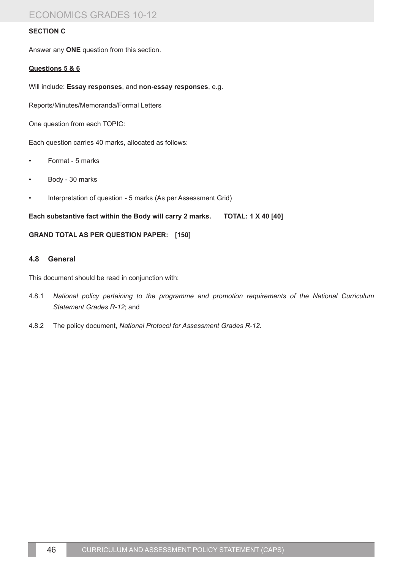# **SECTION C**

Answer any **ONE** question from this section.

#### **Questions 5 & 6**

Will include: **Essay responses**, and **non-essay responses**, e.g.

Reports/Minutes/Memoranda/Formal Letters

One question from each TOPIC:

Each question carries 40 marks, allocated as follows:

- • Format 5 marks
- Body 30 marks
- Interpretation of question 5 marks (As per Assessment Grid)

### **Each substantive fact within the Body will carry 2 marks. TOTAL: 1 X 40 [40]**

#### **GRAND TOTAL AS PER QUESTION PAPER: [150]**

#### **4.8 General**

This document should be read in conjunction with:

- 4.8.1 *National policy pertaining to the programme and promotion requirements of the National Curriculum Statement Grades R-12*; and
- 4.8.2 The policy document, *National Protocol for Assessment Grades R-12.*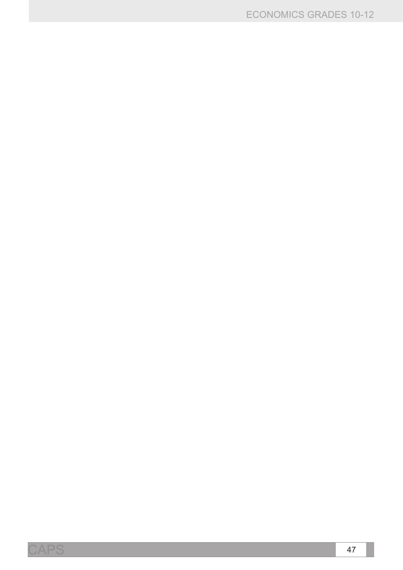